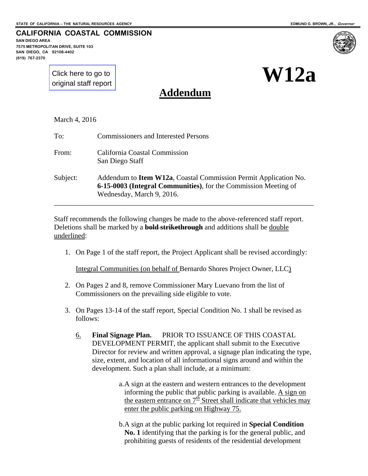**SAN DIEGO AREA** 

**(619) 767-2370**

**7575 METROPOLITAN DRIVE, SUITE 103 SAN DIEGO, CA 92108-4402**

**CALIFORNIA COASTAL COMMISSION**

[Click here to go to](#page-3-0)  original staff report



**Addendum**

March 4, 2016

| To:      | <b>Commissioners and Interested Persons</b>                                                                                                                      |
|----------|------------------------------------------------------------------------------------------------------------------------------------------------------------------|
| From:    | California Coastal Commission<br>San Diego Staff                                                                                                                 |
| Subject: | Addendum to Item W12a, Coastal Commission Permit Application No.<br>6-15-0003 (Integral Communities), for the Commission Meeting of<br>Wednesday, March 9, 2016. |

Staff recommends the following changes be made to the above-referenced staff report. Deletions shall be marked by a **bold strikethrough** and additions shall be double underlined:

1. On Page 1 of the staff report, the Project Applicant shall be revised accordingly:

Integral Communities (on behalf of Bernardo Shores Project Owner, LLC)

- 2. On Pages 2 and 8, remove Commissioner Mary Luevano from the list of Commissioners on the prevailing side eligible to vote.
- 3. On Pages 13-14 of the staff report, Special Condition No. 1 shall be revised as follows:
	- 6. **Final Signage Plan.** PRIOR TO ISSUANCE OF THIS COASTAL DEVELOPMENT PERMIT, the applicant shall submit to the Executive Director for review and written approval, a signage plan indicating the type, size, extent, and location of all informational signs around and within the development. Such a plan shall include, at a minimum:

a.A sign at the eastern and western entrances to the development informing the public that public parking is available.  $\overrightarrow{A}$  sign on the eastern entrance on  $7<sup>th</sup>$  Street shall indicate that vehicles may enter the public parking on Highway 75.

b.A sign at the public parking lot required in **Special Condition No. 1** identifying that the parking is for the general public, and prohibiting guests of residents of the residential development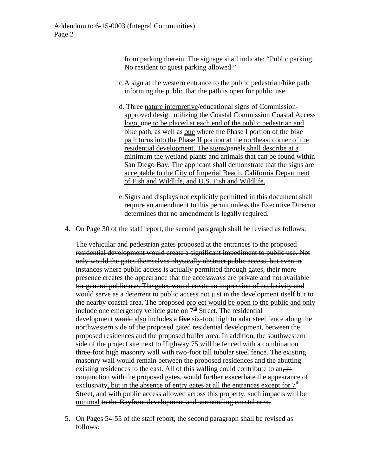from parking therein. The signage shall indicate: "Public parking. No resident or guest parking allowed."

- c.A sign at the western entrance to the public pedestrian/bike path informing the public that the path is open for public use.
- d. Three nature interpretive/educational signs of Commissionapproved design utilizing the Coastal Commission Coastal Access logo, one to be placed at each end of the public pedestrian and bike path, as well as one where the Phase I portion of the bike path turns into the Phase II portion at the northeast corner of the residential development. The signs/panels shall describe at a minimum the wetland plants and animals that can be found within San Diego Bay. The applicant shall demonstrate that the signs are acceptable to the City of Imperial Beach, California Department of Fish and Wildlife, and U.S. Fish and Wildlife.
- e.Signs and displays not explicitly permitted in this document shall require an amendment to this permit unless the Executive Director determines that no amendment is legally required.
- 4. On Page 30 of the staff report, the second paragraph shall be revised as follows:

The vehicular and pedestrian gates proposed at the entrances to the proposed residential development would create a significant impediment to public use. Not only would the gates themselves physically obstruct public access, but even in instances where public access is actually permitted through gates, their mere presence creates the appearance that the accessways are private and not available for general public use. The gates would create an impression of exclusivity and would serve as a deterrent to public access not just in the development itself but to the nearby coastal area. The proposed project would be open to the public and only include one emergency vehicle gate on  $7<sup>th</sup>$  Street. The residential development would also includes a **five** six-foot high tubular steel fence along the northwestern side of the proposed gated residential development, between the proposed residences and the proposed buffer area. In addition, the southwestern side of the project site next to Highway 75 will be fenced with a combination three-foot high masonry wall with two-foot tall tubular steel fence. The existing masonry wall would remain between the proposed residences and the abutting existing residences to the east. All of this walling could contribute to an,  $\frac{1}{2}$ conjunction with the proposed gates, would further exacerbate the appearance of exclusivity, but in the absence of entry gates at all the entrances except for  $7<sup>th</sup>$ Street, and with public access allowed across this property, such impacts will be minimal to the Bayfront development and surrounding coastal area.

5. On Pages 54-55 of the staff report, the second paragraph shall be revised as follows: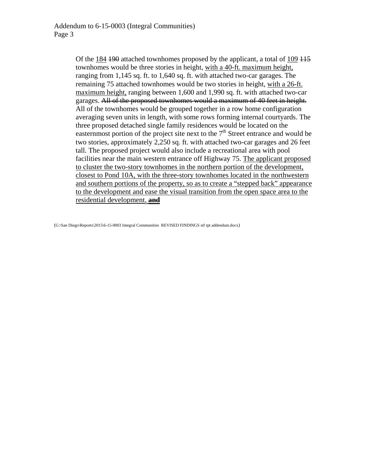Of the 184 190 attached townhomes proposed by the applicant, a total of 109 115 townhomes would be three stories in height, with a 40-ft. maximum height, ranging from 1,145 sq. ft. to 1,640 sq. ft. with attached two-car garages. The remaining 75 attached townhomes would be two stories in height, with a 26-ft. maximum height, ranging between 1,600 and 1,990 sq. ft. with attached two-car garages. All of the proposed townhomes would a maximum of 40 feet in height. All of the townhomes would be grouped together in a row home configuration averaging seven units in length, with some rows forming internal courtyards. The three proposed detached single family residences would be located on the easternmost portion of the project site next to the  $7<sup>th</sup>$  Street entrance and would be two stories, approximately 2,250 sq. ft. with attached two-car garages and 26 feet tall. The proposed project would also include a recreational area with pool facilities near the main western entrance off Highway 75. The applicant proposed to cluster the two-story townhomes in the northern portion of the development, closest to Pond 10A, with the three-story townhomes located in the northwestern and southern portions of the property, so as to create a "stepped back" appearance to the development and ease the visual transition from the open space area to the residential development. **and**

(G:\San Diego\Reports\2015\6-15-0003 Integral Communities REVISED FINDINGS stf rpt addendum.docx)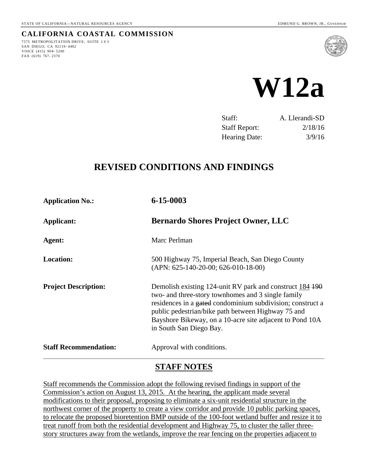7575 METROPOLITATION DRIVE, SUITE 103

SAN DIEGO, CA 92119- 4402 VOICE (415) 904- 5200 FAX (619) 767- 2370

<span id="page-3-0"></span>**CALIFORNIA COASTAL COMMISSION**



| Staff:               | A. Llerandi-SD |
|----------------------|----------------|
| <b>Staff Report:</b> | 2/18/16        |
| <b>Hearing Date:</b> | 3/9/16         |

# **REVISED CONDITIONS AND FINDINGS**

| 6-15-0003                                                                                                                                                                                                                                                                                                                 |  |
|---------------------------------------------------------------------------------------------------------------------------------------------------------------------------------------------------------------------------------------------------------------------------------------------------------------------------|--|
| <b>Bernardo Shores Project Owner, LLC</b>                                                                                                                                                                                                                                                                                 |  |
| Marc Perlman                                                                                                                                                                                                                                                                                                              |  |
| 500 Highway 75, Imperial Beach, San Diego County<br>$(APN: 625-140-20-00; 626-010-18-00)$                                                                                                                                                                                                                                 |  |
| Demolish existing 124-unit RV park and construct 184 190<br>two- and three-story townhomes and 3 single family<br>residences in a gated condominium subdivision; construct a<br>public pedestrian/bike path between Highway 75 and<br>Bayshore Bikeway, on a 10-acre site adjacent to Pond 10A<br>in South San Diego Bay. |  |
| Approval with conditions.                                                                                                                                                                                                                                                                                                 |  |
|                                                                                                                                                                                                                                                                                                                           |  |

# **STAFF NOTES**

Staff recommends the Commission adopt the following revised findings in support of the Commission's action on August 13, 2015. At the hearing, the applicant made several modifications to their proposal, proposing to eliminate a six-unit residential structure in the northwest corner of the property to create a view corridor and provide 10 public parking spaces, to relocate the proposed bioretention BMP outside of the 100-foot wetland buffer and resize it to treat runoff from both the residential development and Highway 75, to cluster the taller threestory structures away from the wetlands, improve the rear fencing on the properties adjacent to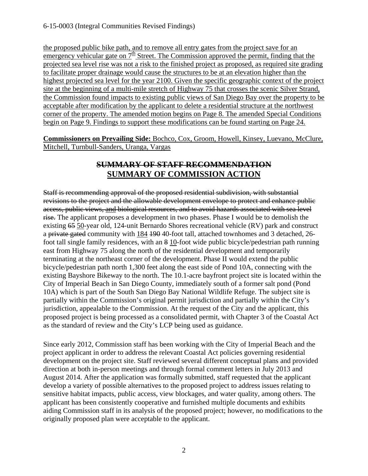the proposed public bike path, and to remove all entry gates from the project save for an emergency vehicular gate on  $7<sup>th</sup>$  Street. The Commission approved the permit, finding that the projected sea level rise was not a risk to the finished project as proposed, as required site grading to facilitate proper drainage would cause the structures to be at an elevation higher than the highest projected sea level for the year 2100. Given the specific geographic context of the project site at the beginning of a multi-mile stretch of Highway 75 that crosses the scenic Silver Strand, the Commission found impacts to existing public views of San Diego Bay over the property to be acceptable after modification by the applicant to delete a residential structure at the northwest corner of the property. The amended motion begins on Page 8. The amended Special Conditions begin on Page 9. Findings to support these modifications can be found starting on Page 24.

**Commissioners on Prevailing Side:** Bochco, Cox, Groom, Howell, Kinsey, Luevano, McClure, Mitchell, Turnbull-Sanders, Uranga, Vargas

# **SUMMARY OF STAFF RECOMMENDATION SUMMARY OF COMMISSION ACTION**

Staff is recommending approval of the proposed residential subdivision, with substantial revisions to the project and the allowable development envelope to protect and enhance public access, public views, and biological resources, and to avoid hazards associated with sea level rise. The applicant proposes a development in two phases. Phase I would be to demolish the existing 65 50-year old, 124-unit Bernardo Shores recreational vehicle (RV) park and construct a private gated community with 184 190 40-foot tall, attached townhomes and 3 detached, 26 foot tall single family residences, with an 8 10-foot wide public bicycle/pedestrian path running east from Highway 75 along the north of the residential development and temporarily terminating at the northeast corner of the development. Phase II would extend the public bicycle/pedestrian path north 1,300 feet along the east side of Pond 10A, connecting with the existing Bayshore Bikeway to the north. The 10.1-acre bayfront project site is located within the City of Imperial Beach in San Diego County, immediately south of a former salt pond (Pond 10A) which is part of the South San Diego Bay National Wildlife Refuge. The subject site is partially within the Commission's original permit jurisdiction and partially within the City's jurisdiction, appealable to the Commission. At the request of the City and the applicant, this proposed project is being processed as a consolidated permit, with Chapter 3 of the Coastal Act as the standard of review and the City's LCP being used as guidance.

Since early 2012, Commission staff has been working with the City of Imperial Beach and the project applicant in order to address the relevant Coastal Act policies governing residential development on the project site. Staff reviewed several different conceptual plans and provided direction at both in-person meetings and through formal comment letters in July 2013 and August 2014. After the application was formally submitted, staff requested that the applicant develop a variety of possible alternatives to the proposed project to address issues relating to sensitive habitat impacts, public access, view blockages, and water quality, among others. The applicant has been consistently cooperative and furnished multiple documents and exhibits aiding Commission staff in its analysis of the proposed project; however, no modifications to the originally proposed plan were acceptable to the applicant.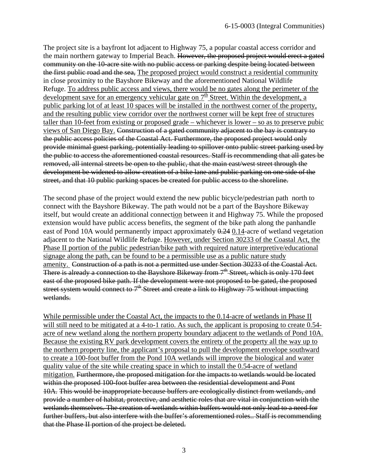The project site is a bayfront lot adjacent to Highway 75, a popular coastal access corridor and the main northern gateway to Imperial Beach. However, the proposed project would erect a gated community on the 10-acre site with no public access or parking despite being located between the first public road and the sea, The proposed project would construct a residential community in close proximity to the Bayshore Bikeway and the aforementioned National Wildlife Refuge. To address public access and views, there would be no gates along the perimeter of the development save for an emergency vehicular gate on  $7<sup>th</sup>$  Street. Within the development, a public parking lot of at least 10 spaces will be installed in the northwest corner of the property, and the resulting public view corridor over the northwest corner will be kept free of structures taller than 10-feet from existing or proposed grade – whichever is lower – so as to preserve pubic views of San Diego Bay. Construction of a gated community adjacent to the bay is contrary to the public access policies of the Coastal Act. Furthermore, the proposed project would only provide minimal guest parking, potentially leading to spillover onto public street parking used by the public to access the aforementioned coastal resources. Staff is recommending that all gates be removed, all internal streets be open to the public, that the main east/west street through the development be widened to allow creation of a bike lane and public parking on one side of the street, and that 10 public parking spaces be created for public access to the shoreline.

The second phase of the project would extend the new public bicycle/pedestrian path north to connect with the Bayshore Bikeway. The path would not be a part of the Bayshore Bikeway itself, but would create an additional connection between it and Highway 75. While the proposed extension would have public access benefits, the segment of the bike path along the panhandle east of Pond 10A would permanently impact approximately 0.24 0.14-acre of wetland vegetation adjacent to the National Wildlife Refuge. However, under Section 30233 of the Coastal Act, the Phase II portion of the public pedestrian/bike path with required nature interpretive/educational signage along the path, can be found to be a permissible use as a public nature study amenity. Construction of a path is not a permitted use under Section 30233 of the Coastal Act. There is already a connection to the Bayshore Bikeway from 7<sup>th</sup> Street, which is only 170 feet east of the proposed bike path. If the development were not proposed to be gated, the proposed street system would connect to  $7<sup>th</sup>$  Street and create a link to Highway 75 without impacting wetlands.

While permissible under the Coastal Act, the impacts to the 0.14-acre of wetlands in Phase II will still need to be mitigated at a 4-to-1 ratio. As such, the applicant is proposing to create 0.54acre of new wetland along the northern property boundary adjacent to the wetlands of Pond 10A. Because the existing RV park development covers the entirety of the property all the way up to the northern property line, the applicant's proposal to pull the development envelope southward to create a 100-foot buffer from the Pond 10A wetlands will improve the biological and water quality value of the site while creating space in which to install the 0.54-acre of wetland mitigation. Furthermore, the proposed mitigation for the impacts to wetlands would be located within the proposed 100-foot buffer area between the residential development and Pont 10A. This would be inappropriate because buffers are ecologically distinct from wetlands, and provide a number of habitat, protective, and aesthetic roles that are vital in conjunction with the wetlands themselves. The creation of wetlands within buffers would not only lead to a need for further buffers, but also interfere with the buffer's aforementioned roles.. Staff is recommending that the Phase II portion of the project be deleted.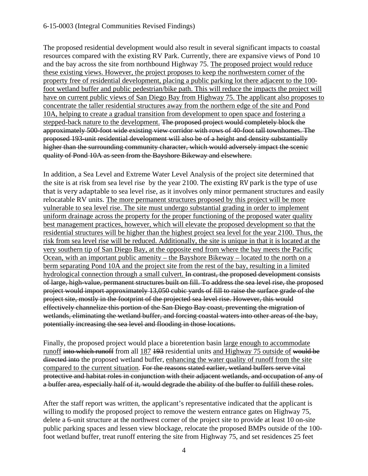## 6-15-0003 (Integral Communities Revised Findings)

The proposed residential development would also result in several significant impacts to coastal resources compared with the existing RV Park. Currently, there are expansive views of Pond 10 and the bay across the site from northbound Highway 75. The proposed project would reduce these existing views. However, the project proposes to keep the northwestern corner of the property free of residential development, placing a public parking lot there adjacent to the 100 foot wetland buffer and public pedestrian/bike path. This will reduce the impacts the project will have on current public views of San Diego Bay from Highway 75. The applicant also proposes to concentrate the taller residential structures away from the northern edge of the site and Pond 10A, helping to create a gradual transition from development to open space and fostering a stepped-back nature to the development. The proposed project would completely block the approximately 500-foot wide existing view corridor with rows of 40-foot tall townhomes. The proposed 193-unit residential development will also be of a height and density substantially higher than the surrounding community character, which would adversely impact the scenic quality of Pond 10A as seen from the Bayshore Bikeway and elsewhere.

In addition, a Sea Level and Extreme Water Level Analysis of the project site determined that the site is at risk from sea level rise by the year 2100. The existing RV park is the type of use that is very adaptable to sea level rise, as it involves only minor permanent structures and easily relocatable RV units. The more permanent structures proposed by this project will be more vulnerable to sea level rise. The site must undergo substantial grading in order to implement uniform drainage across the property for the proper functioning of the proposed water quality best management practices, however, which will elevate the proposed development so that the residential structures will be higher than the highest project sea level for the year 2100. Thus, the risk from sea level rise will be reduced. Additionally, the site is unique in that it is located at the very southern tip of San Diego Bay, at the opposite end from where the bay meets the Pacific Ocean, with an important public amenity – the Bayshore Bikeway – located to the north on a berm separating Pond 10A and the project site from the rest of the bay, resulting in a limited hydrological connection through a small culvert. In contrast, the proposed development consists of large, high-value, permanent structures built on fill. To address the sea level rise, the proposed project would import approximately 13,050 cubic yards of fill to raise the surface grade of the project site, mostly in the footprint of the projected sea level rise. However, this would effectively channelize this portion of the San Diego Bay coast, preventing the migration of wetlands, eliminating the wetland buffer, and forcing coastal waters into other areas of the bay, potentially increasing the sea level and flooding in those locations.

Finally, the proposed project would place a bioretention basin large enough to accommodate runoff into which runoff from all 187 193 residential units and Highway 75 outside of would be directed into the proposed wetland buffer, enhancing the water quality of runoff from the site compared to the current situation. For the reasons stated earlier, wetland buffers serve vital protective and habitat roles in conjunction with their adjacent wetlands, and occupation of any of a buffer area, especially half of it, would degrade the ability of the buffer to fulfill these roles.

After the staff report was written, the applicant's representative indicated that the applicant is willing to modify the proposed project to remove the western entrance gates on Highway 75, delete a 6-unit structure at the northwest corner of the project site to provide at least 10 on-site public parking spaces and lessen view blockage, relocate the proposed BMPs outside of the 100 foot wetland buffer, treat runoff entering the site from Highway 75, and set residences 25 feet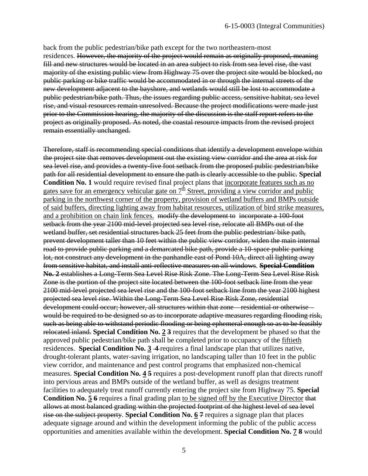back from the public pedestrian/bike path except for the two northeastern-most residences. However, the majority of the project would remain as originally proposed, meaning fill and new structures would be located in an area subject to risk from sea level rise, the vast majority of the existing public view from Highway 75 over the project site would be blocked, no public parking or bike traffic would be accommodated in or through the internal streets of the new development adjacent to the bayshore, and wetlands would still be lost to accommodate a public pedestrian/bike path. Thus, the issues regarding public access, sensitive habitat, sea level rise, and visual resources remain unresolved. Because the project modifications were made just prior to the Commission hearing, the majority of the discussion is the staff report refers to the project as originally proposed. As noted, the coastal resource impacts from the revised project remain essentially unchanged.

Therefore, staff is recommending special conditions that identify a development envelope within the project site that removes development out the existing view corridor and the area at risk for sea level rise, and provides a twenty-five foot setback from the proposed public pedestrian/bike path for all residential development to ensure the path is clearly accessible to the public. **Special Condition No. 1** would require revised final project plans that incorporate features such as no gates save for an emergency vehicular gate on  $7^{\underline{h}}$  Street, providing a view corridor and public parking in the northwest corner of the property, provision of wetland buffers and BMPs outside of said buffers, directing lighting away from habitat resources, utilization of bird strike measures, and a prohibition on chain link fences. modify the development to incorporate a 100-foot setback from the year 2100 mid-level projected sea level rise, relocate all BMPs out of the wetland buffer, set residential structures back 25 feet from the public pedestrian/ bike path, prevent development taller than 10 feet within the public view corridor, widen the main internal road to provide public parking and a demarcated bike path, provide a 10-space public parking lot, not construct any development in the panhandle east of Pond 10A, direct all lighting away from sensitive habitat, and install anti-reflective measures on all windows. **Special Condition No. 2** establishes a Long-Term Sea Level Rise Risk Zone. The Long-Term Sea Level Rise Risk Zone is the portion of the project site located between the 100-foot setback line from the year 2100 mid-level projected sea level rise and the 100-foot setback line from the year 2100 highest projected sea level rise. Within the Long-Term Sea Level Rise Risk Zone, residential development could occur; however, all structures within that zone – residential or otherwise – would be required to be designed so as to incorporate adaptive measures regarding flooding risk, such as being able to withstand periodic flooding or being ephemeral enough so as to be feasibly relocated inland. **Special Condition No. 2 3** requires that the development be phased so that the approved public pedestrian/bike path shall be completed prior to occupancy of the fiftieth residences. **Special Condition No. 3 4** requires a final landscape plan that utilizes native, drought-tolerant plants, water-saving irrigation, no landscaping taller than 10 feet in the public view corridor, and maintenance and pest control programs that emphasized non-chemical measures. **Special Condition No. 4 5** requires a post-development runoff plan that directs runoff into pervious areas and BMPs outside of the wetland buffer, as well as designs treatment facilities to adequately treat runoff currently entering the project site from Highway 75. **Special Condition No. 5 6** requires a final grading plan to be signed off by the Executive Director that allows at most balanced grading within the projected footprint of the highest level of sea level rise on the subject property. **Special Condition No. 6 7** requires a signage plan that places adequate signage around and within the development informing the public of the public access opportunities and amenities available within the development. **Special Condition No. 7 8** would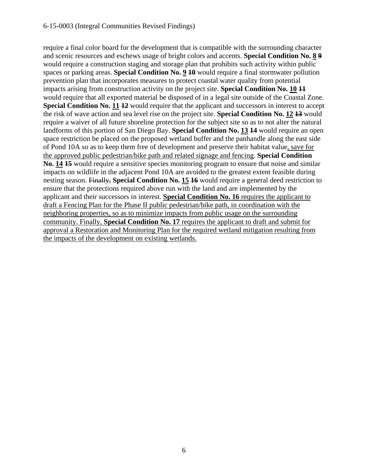require a final color board for the development that is compatible with the surrounding character and scenic resources and eschews usage of bright colors and accents. **Special Condition No. 8 9** would require a construction staging and storage plan that prohibits such activity within public spaces or parking areas. **Special Condition No. 9 10** would require a final stormwater pollution prevention plan that incorporates measures to protect coastal water quality from potential impacts arising from construction activity on the project site. **Special Condition No. 10 11** would require that all exported material be disposed of in a legal site outside of the Coastal Zone. **Special Condition No. 11 12** would require that the applicant and successors in interest to accept the risk of wave action and sea level rise on the project site. **Special Condition No. 12 13** would require a waiver of all future shoreline protection for the subject site so as to not alter the natural landforms of this portion of San Diego Bay. **Special Condition No. 13 14** would require an open space restriction be placed on the proposed wetland buffer and the panhandle along the east side of Pond 10A so as to keep them free of development and preserve their habitat value, save for the approved public pedestrian/bike path and related signage and fencing. **Special Condition No. 14 15** would require a sensitive species monitoring program to ensure that noise and similar impacts on wildlife in the adjacent Pond 10A are avoided to the greatest extent feasible during nesting season. Finally, **Special Condition No. 15 16** would require a general deed restriction to ensure that the protections required above run with the land and are implemented by the applicant and their successors in interest. **Special Condition No. 16** requires the applicant to draft a Fencing Plan for the Phase II public pedestrian/bike path, in coordination with the neighboring properties, so as to minimize impacts from public usage on the surrounding community. Finally, **Special Condition No. 17** requires the applicant to draft and submit for approval a Restoration and Monitoring Plan for the required wetland mitigation resulting from the impacts of the development on existing wetlands.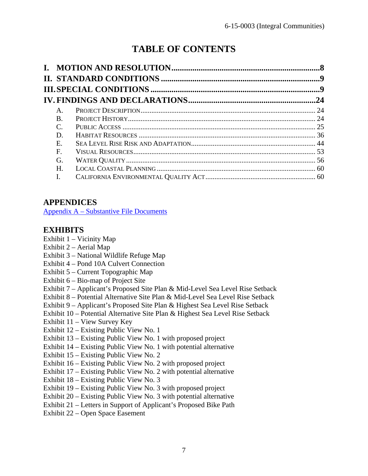# **TABLE OF CONTENTS**

| $A_{\cdot}$  |  |
|--------------|--|
| <b>B</b> .   |  |
| $\mathsf{C}$ |  |
| D.           |  |
| E.           |  |
| $\mathbf{F}$ |  |
| G.           |  |
| H.           |  |
| I.           |  |

# **APPENDICES**

[Appendix A – Substantive File Documents](#page-63-0)

# **EXHIBITS**

- Exhibit 1 Vicinity Map
- Exhibit 2 Aerial Map
- Exhibit 3 National Wildlife Refuge Map
- Exhibit 4 Pond 10A Culvert Connection
- Exhibit 5 Current Topographic Map
- Exhibit 6 Bio-map of Project Site
- Exhibit 7 Applicant's Proposed Site Plan & Mid-Level Sea Level Rise Setback
- Exhibit 8 Potential Alternative Site Plan & Mid-Level Sea Level Rise Setback
- Exhibit 9 Applicant's Proposed Site Plan & Highest Sea Level Rise Setback
- Exhibit 10 Potential Alternative Site Plan & Highest Sea Level Rise Setback
- Exhibit 11 View Survey Key
- Exhibit 12 Existing Public View No. 1
- Exhibit 13 Existing Public View No. 1 with proposed project
- Exhibit 14 Existing Public View No. 1 with potential alternative
- Exhibit 15 Existing Public View No. 2
- Exhibit 16 Existing Public View No. 2 with proposed project
- Exhibit 17 Existing Public View No. 2 with potential alternative
- Exhibit 18 Existing Public View No. 3
- Exhibit 19 Existing Public View No. 3 with proposed project
- Exhibit 20 Existing Public View No. 3 with potential alternative
- Exhibit 21 Letters in Support of Applicant's Proposed Bike Path
- Exhibit 22 Open Space Easement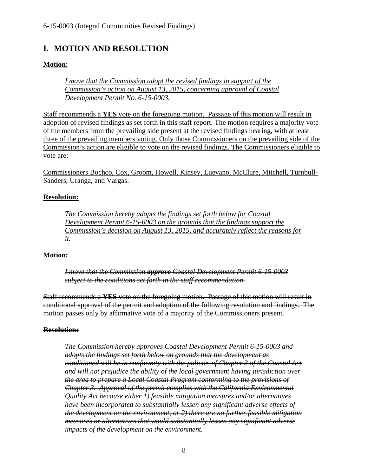# <span id="page-10-0"></span>**I. MOTION AND RESOLUTION**

# **Motion:**

*I move that the Commission adopt the revised findings in support of the Commission's action on August 13, 2015, concerning approval of Coastal Development Permit No. 6-15-0003.* 

Staff recommends a **YES** vote on the foregoing motion. Passage of this motion will result in adoption of revised findings as set forth in this staff report. The motion requires a majority vote of the members from the prevailing side present at the revised findings hearing, with at least three of the prevailing members voting. Only those Commissioners on the prevailing side of the Commission's action are eligible to vote on the revised findings. The Commissioners eligible to vote are:

Commissioners Bochco, Cox, Groom, Howell, Kinsey, Luevano, McClure, Mitchell, Turnbull-Sanders, Uranga, and Vargas.

# **Resolution:**

*The Commission hereby adopts the findings set forth below for Coastal Development Permit 6-15-0003 on the grounds that the findings support the Commission's decision on August 13, 2015, and accurately reflect the reasons for it.* 

#### **Motion:**

*I move that the Commission approve Coastal Development Permit 6-15-0003 subject to the conditions set forth in the staff recommendation.* 

Staff recommends a **YES** vote on the foregoing motion. Passage of this motion will result in conditional approval of the permit and adoption of the following resolution and findings. The motion passes only by affirmative vote of a majority of the Commissioners present.

#### **Resolution:**

*The Commission hereby approves Coastal Development Permit 6-15-0003 and adopts the findings set forth below on grounds that the development as conditioned will be in conformity with the policies of Chapter 3 of the Coastal Act and will not prejudice the ability of the local government having jurisdiction over the area to prepare a Local Coastal Program conforming to the provisions of Chapter 3. Approval of the permit complies with the California Environmental Quality Act because either 1) feasible mitigation measures and/or alternatives have been incorporated to substantially lessen any significant adverse effects of the development on the environment, or 2) there are no further feasible mitigation measures or alternatives that would substantially lessen any significant adverse impacts of the development on the environment.*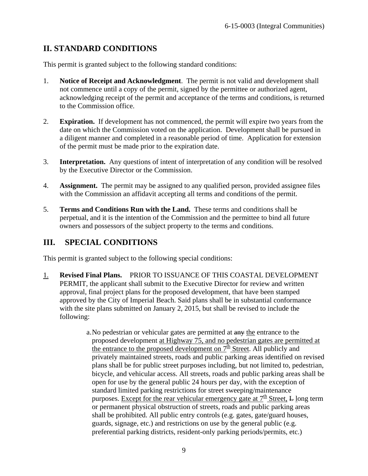# <span id="page-11-0"></span>**II. STANDARD CONDITIONS**

This permit is granted subject to the following standard conditions:

- 1. **Notice of Receipt and Acknowledgment**. The permit is not valid and development shall not commence until a copy of the permit, signed by the permittee or authorized agent, acknowledging receipt of the permit and acceptance of the terms and conditions, is returned to the Commission office.
- 2. **Expiration.** If development has not commenced, the permit will expire two years from the date on which the Commission voted on the application. Development shall be pursued in a diligent manner and completed in a reasonable period of time. Application for extension of the permit must be made prior to the expiration date.
- 3. **Interpretation.** Any questions of intent of interpretation of any condition will be resolved by the Executive Director or the Commission.
- 4. **Assignment.** The permit may be assigned to any qualified person, provided assignee files with the Commission an affidavit accepting all terms and conditions of the permit.
- 5. **Terms and Conditions Run with the Land.** These terms and conditions shall be perpetual, and it is the intention of the Commission and the permittee to bind all future owners and possessors of the subject property to the terms and conditions.

# <span id="page-11-1"></span>**III. SPECIAL CONDITIONS**

This permit is granted subject to the following special conditions:

- <span id="page-11-2"></span>1. **Revised Final Plans.** PRIOR TO ISSUANCE OF THIS COASTAL DEVELOPMENT PERMIT, the applicant shall submit to the Executive Director for review and written approval, final project plans for the proposed development, that have been stamped approved by the City of Imperial Beach. Said plans shall be in substantial conformance with the site plans submitted on January 2, 2015, but shall be revised to include the following:
	- a. No pedestrian or vehicular gates are permitted at any the entrance to the proposed development at Highway 75, and no pedestrian gates are permitted at the entrance to the proposed development on  $7^{\underline{th}}$  Street. All publicly and privately maintained streets, roads and public parking areas identified on revised plans shall be for public street purposes including, but not limited to, pedestrian, bicycle, and vehicular access. All streets, roads and public parking areas shall be open for use by the general public 24 hours per day, with the exception of standard limited parking restrictions for street sweeping/maintenance purposes. Except for the rear vehicular emergency gate at  $7<sup>th</sup>$  Street, L long term or permanent physical obstruction of streets, roads and public parking areas shall be prohibited. All public entry controls (e.g. gates, gate/guard houses, guards, signage, etc.) and restrictions on use by the general public (e.g. preferential parking districts, resident-only parking periods/permits, etc.)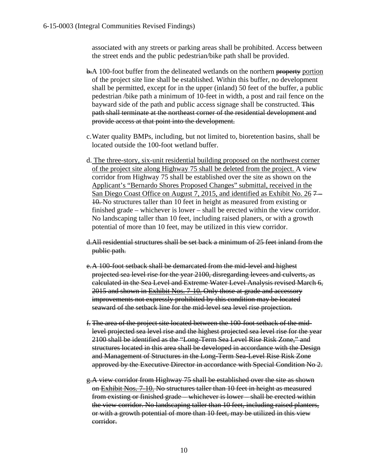associated with any streets or parking areas shall be prohibited. Access between the street ends and the public pedestrian/bike path shall be provided.

- b.A 100-foot buffer from the delineated wetlands on the northern property portion of the project site line shall be established. Within this buffer, no development shall be permitted, except for in the upper (inland) 50 feet of the buffer, a public pedestrian /bike path a minimum of 10-feet in width, a post and rail fence on the bayward side of the path and public access signage shall be constructed. This path shall terminate at the northeast corner of the residential development and provide access at that point into the development.
- c.Water quality BMPs, including, but not limited to, bioretention basins, shall be located outside the 100-foot wetland buffer.
- d. The three-story, six-unit residential building proposed on the northwest corner of the project site along Highway 75 shall be deleted from the project. A view corridor from Highway 75 shall be established over the site as shown on the Applicant's "Bernardo Shores Proposed Changes" submittal, received in the San Diego Coast Office on August 7, 2015, and identified as Exhibit No. 26 7 10. No structures taller than 10 feet in height as measured from existing or finished grade – whichever is lower – shall be erected within the view corridor. No landscaping taller than 10 feet, including raised planers, or with a growth potential of more than 10 feet, may be utilized in this view corridor.
- d.All residential structures shall be set back a minimum of 25 feet inland from the public path.
- e. A 100-foot setback shall be demarcated from the mid-level and highest projected sea level rise for the year 2100, disregarding levees and culverts, as calculated in the Sea Level and Extreme Water Level Analysis revised March 6, 2015 and shown in Exhibit Nos. 7-10. Only those at-grade and accessory improvements not expressly prohibited by this condition may be located seaward of the setback line for the mid-level sea level rise projection.
- f. The area of the project site located between the 100-foot setback of the midlevel projected sea level rise and the highest projected sea level rise for the year 2100 shall be identified as the "Long-Term Sea Level Rise Risk Zone," and structures located in this area shall be developed in accordance with the Design and Management of Structures in the Long-Term Sea-Level Rise Risk Zone approved by the Executive Director in accordance with Special Condition No 2.
- g.A view corridor from Highway 75 shall be established over the site as shown on Exhibit Nos. 7-10. No structures taller than 10 feet in height as measured from existing or finished grade – whichever is lower – shall be erected within the view corridor. No landscaping taller than 10 feet, including raised planters, or with a growth potential of more than 10 feet, may be utilized in this view corridor.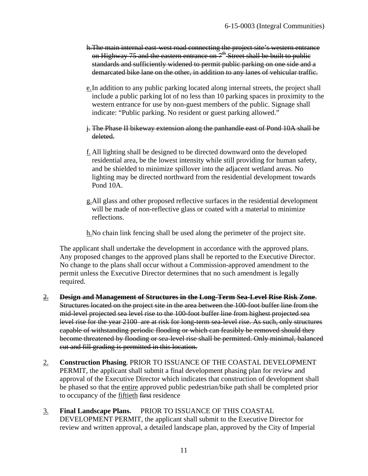- h. The main internal east-west road connecting the project site's western entrance on Highway 75 and the eastern entrance on  $7<sup>th</sup>$  Street shall be built to public standards and sufficiently widened to permit public parking on one side and a demarcated bike lane on the other, in addition to any lanes of vehicular traffic.
- e.In addition to any public parking located along internal streets, the project shall include a public parking lot of no less than 10 parking spaces in proximity to the western entrance for use by non-guest members of the public. Signage shall indicate: "Public parking. No resident or guest parking allowed."
- j. The Phase II bikeway extension along the panhandle east of Pond 10A shall be deleted.
- f. All lighting shall be designed to be directed downward onto the developed residential area, be the lowest intensity while still providing for human safety, and be shielded to minimize spillover into the adjacent wetland areas. No lighting may be directed northward from the residential development towards Pond 10A.
- g.All glass and other proposed reflective surfaces in the residential development will be made of non-reflective glass or coated with a material to minimize reflections.

h.No chain link fencing shall be used along the perimeter of the project site.

The applicant shall undertake the development in accordance with the approved plans. Any proposed changes to the approved plans shall be reported to the Executive Director. No change to the plans shall occur without a Commission-approved amendment to the permit unless the Executive Director determines that no such amendment is legally required.

- 2. **Design and Management of Structures in the Long-Term Sea-Level Rise Risk Zone**. Structures located on the project site in the area between the 100-foot buffer line from the mid-level projected sea level rise to the 100-foot buffer line from highest projected sea level rise for the year 2100 are at risk for long-term sea-level rise. As such, only structures capable of withstanding periodic flooding or which can feasibly be removed should they become threatened by flooding or sea-level rise shall be permitted. Only minimal, balanced cut and fill grading is permitted in this location.
- 2. **Construction Phasing**. PRIOR TO ISSUANCE OF THE COASTAL DEVELOPMENT PERMIT, the applicant shall submit a final development phasing plan for review and approval of the Executive Director which indicates that construction of development shall be phased so that the entire approved public pedestrian/bike path shall be completed prior to occupancy of the fiftieth first residence
- 3. **Final Landscape Plans.** PRIOR TO ISSUANCE OF THIS COASTAL DEVELOPMENT PERMIT, the applicant shall submit to the Executive Director for review and written approval, a detailed landscape plan, approved by the City of Imperial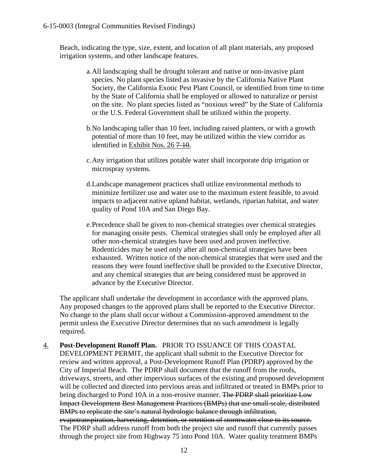Beach, indicating the type, size, extent, and location of all plant materials, any proposed irrigation systems, and other landscape features.

- a.All landscaping shall be drought tolerant and native or non-invasive plant species. No plant species listed as invasive by the California Native Plant Society, the California Exotic Pest Plant Council, or identified from time to time by the State of California shall be employed or allowed to naturalize or persist on the site. No plant species listed as "noxious weed" by the State of California or the U.S. Federal Government shall be utilized within the property.
- b.No landscaping taller than 10 feet, including raised planters, or with a growth potential of more than 10 feet, may be utilized within the view corridor as identified in Exhibit Nos. 26 7-10.
- c.Any irrigation that utilizes potable water shall incorporate drip irrigation or microspray systems.
- d.Landscape management practices shall utilize environmental methods to minimize fertilizer use and water use to the maximum extent feasible, to avoid impacts to adjacent native upland habitat, wetlands, riparian habitat, and water quality of Pond 10A and San Diego Bay.
- e.Precedence shall be given to non-chemical strategies over chemical strategies for managing onsite pests. Chemical strategies shall only be employed after all other non-chemical strategies have been used and proven ineffective. Rodenticides may be used only after all non-chemical strategies have been exhausted. Written notice of the non-chemical strategies that were used and the reasons they were found ineffective shall be provided to the Executive Director, and any chemical strategies that are being considered must be approved in advance by the Executive Director.

The applicant shall undertake the development in accordance with the approved plans. Any proposed changes to the approved plans shall be reported to the Executive Director. No change to the plans shall occur without a Commission-approved amendment to the permit unless the Executive Director determines that no such amendment is legally required.

4. **Post-Development Runoff Plan.** PRIOR TO ISSUANCE OF THIS COASTAL DEVELOPMENT PERMIT, the applicant shall submit to the Executive Director for review and written approval, a Post-Development Runoff Plan (PDRP) approved by the City of Imperial Beach. The PDRP shall document that the runoff from the roofs, driveways, streets, and other impervious surfaces of the existing and proposed development will be collected and directed into pervious areas and infiltrated or treated in BMPs prior to being discharged to Pond 10A in a non-erosive manner. The PDRP shall prioritize Low Impact Development Best Management Practices (BMPs) that use small-scale, distributed BMPs to replicate the site's natural hydrologic balance through infiltration, evapotranspiration, harvesting, detention, or retention of stormwater close to its source. The PDRP shall address runoff from both the project site and runoff that currently passes through the project site from Highway 75 into Pond 10A. Water quality treatment BMPs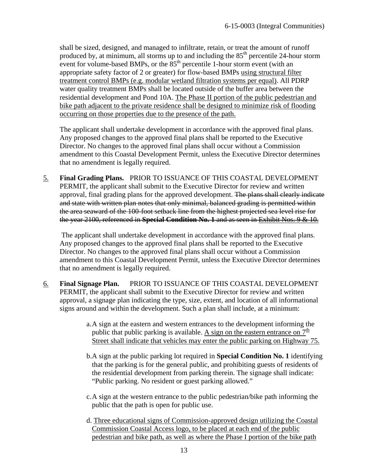shall be sized, designed, and managed to infiltrate, retain, or treat the amount of runoff produced by, at minimum, all storms up to and including the 85<sup>th</sup> percentile 24-hour storm event for volume-based BMPs, or the  $85<sup>th</sup>$  percentile 1-hour storm event (with an appropriate safety factor of 2 or greater) for flow-based BMPs using structural filter treatment control BMPs (e.g. modular wetland filtration systems per equal). All PDRP water quality treatment BMPs shall be located outside of the buffer area between the residential development and Pond 10A. The Phase II portion of the public pedestrian and bike path adjacent to the private residence shall be designed to minimize risk of flooding occurring on those properties due to the presence of the path.

The applicant shall undertake development in accordance with the approved final plans. Any proposed changes to the approved final plans shall be reported to the Executive Director. No changes to the approved final plans shall occur without a Commission amendment to this Coastal Development Permit, unless the Executive Director determines that no amendment is legally required.

5. **Final Grading Plans.** PRIOR TO ISSUANCE OF THIS COASTAL DEVELOPMENT PERMIT, the applicant shall submit to the Executive Director for review and written approval, final grading plans for the approved development. The plans shall clearly indicate and state with written plan notes that only minimal, balanced grading is permitted within the area seaward of the 100-foot setback line from the highest projected sea level rise for the year 2100, referenced in **Special Condition No. 1** and as seen in Exhibit Nos. 9 & 10.

 The applicant shall undertake development in accordance with the approved final plans. Any proposed changes to the approved final plans shall be reported to the Executive Director. No changes to the approved final plans shall occur without a Commission amendment to this Coastal Development Permit, unless the Executive Director determines that no amendment is legally required.

- 6. **Final Signage Plan.** PRIOR TO ISSUANCE OF THIS COASTAL DEVELOPMENT PERMIT, the applicant shall submit to the Executive Director for review and written approval, a signage plan indicating the type, size, extent, and location of all informational signs around and within the development. Such a plan shall include, at a minimum:
	- a.A sign at the eastern and western entrances to the development informing the public that public parking is available. A sign on the eastern entrance on  $7<sup>th</sup>$ Street shall indicate that vehicles may enter the public parking on Highway 75.
	- b.A sign at the public parking lot required in **Special Condition No. 1** identifying that the parking is for the general public, and prohibiting guests of residents of the residential development from parking therein. The signage shall indicate: "Public parking. No resident or guest parking allowed."
	- c.A sign at the western entrance to the public pedestrian/bike path informing the public that the path is open for public use.
	- d. Three educational signs of Commission-approved design utilizing the Coastal Commission Coastal Access logo, to be placed at each end of the public pedestrian and bike path, as well as where the Phase I portion of the bike path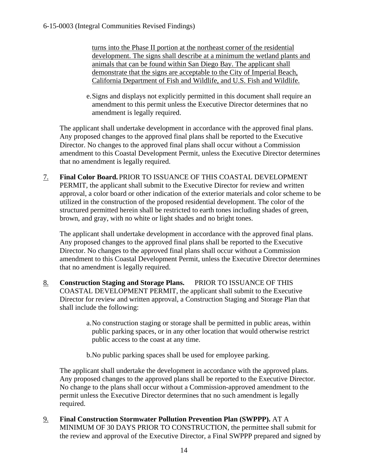turns into the Phase II portion at the northeast corner of the residential development. The signs shall describe at a minimum the wetland plants and animals that can be found within San Diego Bay. The applicant shall demonstrate that the signs are acceptable to the City of Imperial Beach, California Department of Fish and Wildlife, and U.S. Fish and Wildlife.

e.Signs and displays not explicitly permitted in this document shall require an amendment to this permit unless the Executive Director determines that no amendment is legally required.

The applicant shall undertake development in accordance with the approved final plans. Any proposed changes to the approved final plans shall be reported to the Executive Director. No changes to the approved final plans shall occur without a Commission amendment to this Coastal Development Permit, unless the Executive Director determines that no amendment is legally required.

7. **Final Color Board.** PRIOR TO ISSUANCE OF THIS COASTAL DEVELOPMENT PERMIT, the applicant shall submit to the Executive Director for review and written approval, a color board or other indication of the exterior materials and color scheme to be utilized in the construction of the proposed residential development. The color of the structured permitted herein shall be restricted to earth tones including shades of green, brown, and gray, with no white or light shades and no bright tones.

The applicant shall undertake development in accordance with the approved final plans. Any proposed changes to the approved final plans shall be reported to the Executive Director. No changes to the approved final plans shall occur without a Commission amendment to this Coastal Development Permit, unless the Executive Director determines that no amendment is legally required.

- 8. **Construction Staging and Storage Plans.** PRIOR TO ISSUANCE OF THIS COASTAL DEVELOPMENT PERMIT, the applicant shall submit to the Executive Director for review and written approval, a Construction Staging and Storage Plan that shall include the following:
	- a.No construction staging or storage shall be permitted in public areas, within public parking spaces, or in any other location that would otherwise restrict public access to the coast at any time.
	- b.No public parking spaces shall be used for employee parking.

The applicant shall undertake the development in accordance with the approved plans. Any proposed changes to the approved plans shall be reported to the Executive Director. No change to the plans shall occur without a Commission-approved amendment to the permit unless the Executive Director determines that no such amendment is legally required.

9. **Final Construction Stormwater Pollution Prevention Plan (SWPPP).** AT A MINIMUM OF 30 DAYS PRIOR TO CONSTRUCTION, the permittee shall submit for the review and approval of the Executive Director, a Final SWPPP prepared and signed by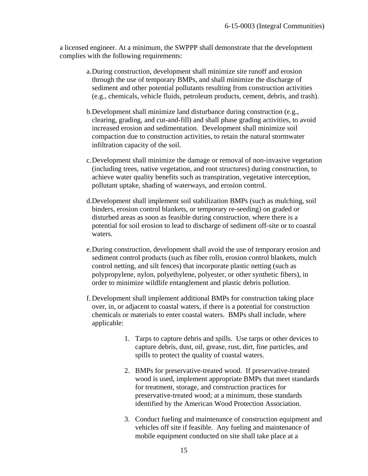a licensed engineer. At a minimum, the SWPPP shall demonstrate that the development complies with the following requirements:

- a.During construction, development shall minimize site runoff and erosion through the use of temporary BMPs, and shall minimize the discharge of sediment and other potential pollutants resulting from construction activities (e.g., chemicals, vehicle fluids, petroleum products, cement, debris, and trash).
- b.Development shall minimize land disturbance during construction (e.g., clearing, grading, and cut-and-fill) and shall phase grading activities, to avoid increased erosion and sedimentation. Development shall minimize soil compaction due to construction activities, to retain the natural stormwater infiltration capacity of the soil.
- c.Development shall minimize the damage or removal of non-invasive vegetation (including trees, native vegetation, and root structures) during construction, to achieve water quality benefits such as transpiration, vegetative interception, pollutant uptake, shading of waterways, and erosion control.
- d.Development shall implement soil stabilization BMPs (such as mulching, soil binders, erosion control blankets, or temporary re-seeding) on graded or disturbed areas as soon as feasible during construction, where there is a potential for soil erosion to lead to discharge of sediment off-site or to coastal waters.
- e.During construction, development shall avoid the use of temporary erosion and sediment control products (such as fiber rolls, erosion control blankets, mulch control netting, and silt fences) that incorporate plastic netting (such as polypropylene, nylon, polyethylene, polyester, or other synthetic fibers), in order to minimize wildlife entanglement and plastic debris pollution.
- f. Development shall implement additional BMPs for construction taking place over, in, or adjacent to coastal waters, if there is a potential for construction chemicals or materials to enter coastal waters. BMPs shall include, where applicable:
	- 1. Tarps to capture debris and spills. Use tarps or other devices to capture debris, dust, oil, grease, rust, dirt, fine particles, and spills to protect the quality of coastal waters.
	- 2. BMPs for preservative-treated wood. If preservative-treated wood is used, implement appropriate BMPs that meet standards for treatment, storage, and construction practices for preservative-treated wood; at a minimum, those standards identified by the American Wood Protection Association.
	- 3. Conduct fueling and maintenance of construction equipment and vehicles off site if feasible. Any fueling and maintenance of mobile equipment conducted on site shall take place at a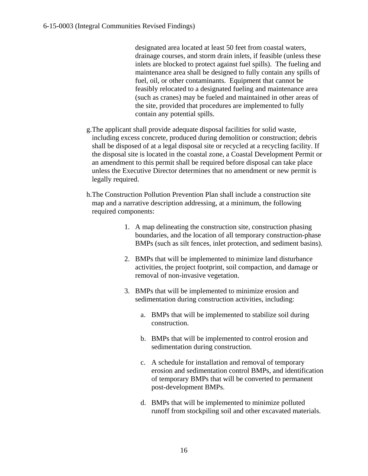designated area located at least 50 feet from coastal waters, drainage courses, and storm drain inlets, if feasible (unless these inlets are blocked to protect against fuel spills). The fueling and maintenance area shall be designed to fully contain any spills of fuel, oil, or other contaminants. Equipment that cannot be feasibly relocated to a designated fueling and maintenance area (such as cranes) may be fueled and maintained in other areas of the site, provided that procedures are implemented to fully contain any potential spills.

- g.The applicant shall provide adequate disposal facilities for solid waste, including excess concrete, produced during demolition or construction; debris shall be disposed of at a legal disposal site or recycled at a recycling facility. If the disposal site is located in the coastal zone, a Coastal Development Permit or an amendment to this permit shall be required before disposal can take place unless the Executive Director determines that no amendment or new permit is legally required.
- h.The Construction Pollution Prevention Plan shall include a construction site map and a narrative description addressing, at a minimum, the following required components:
	- 1. A map delineating the construction site, construction phasing boundaries, and the location of all temporary construction-phase BMPs (such as silt fences, inlet protection, and sediment basins).
	- 2. BMPs that will be implemented to minimize land disturbance activities, the project footprint, soil compaction, and damage or removal of non-invasive vegetation.
	- 3. BMPs that will be implemented to minimize erosion and sedimentation during construction activities, including:
		- a. BMPs that will be implemented to stabilize soil during construction.
		- b. BMPs that will be implemented to control erosion and sedimentation during construction.
		- c. A schedule for installation and removal of temporary erosion and sedimentation control BMPs, and identification of temporary BMPs that will be converted to permanent post-development BMPs.
		- d. BMPs that will be implemented to minimize polluted runoff from stockpiling soil and other excavated materials.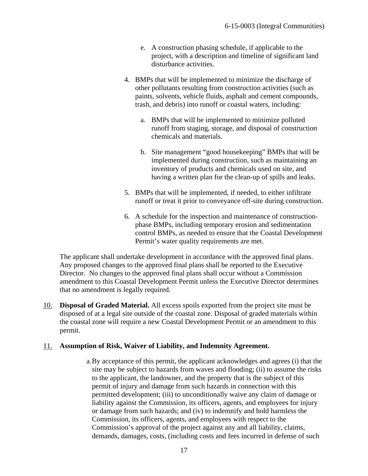- e. A construction phasing schedule, if applicable to the project, with a description and timeline of significant land disturbance activities.
- 4. BMPs that will be implemented to minimize the discharge of other pollutants resulting from construction activities (such as paints, solvents, vehicle fluids, asphalt and cement compounds, trash, and debris) into runoff or coastal waters, including:
	- a. BMPs that will be implemented to minimize polluted runoff from staging, storage, and disposal of construction chemicals and materials.
	- b. Site management "good housekeeping" BMPs that will be implemented during construction, such as maintaining an inventory of products and chemicals used on site, and having a written plan for the clean-up of spills and leaks.
- 5. BMPs that will be implemented, if needed, to either infiltrate runoff or treat it prior to conveyance off-site during construction.
- 6. A schedule for the inspection and maintenance of constructionphase BMPs, including temporary erosion and sedimentation control BMPs, as needed to ensure that the Coastal Development Permit's water quality requirements are met.

The applicant shall undertake development in accordance with the approved final plans. Any proposed changes to the approved final plans shall be reported to the Executive Director. No changes to the approved final plans shall occur without a Commission amendment to this Coastal Development Permit unless the Executive Director determines that no amendment is legally required.

10. **Disposal of Graded Material.** All excess spoils exported from the project site must be disposed of at a legal site outside of the coastal zone. Disposal of graded materials within the coastal zone will require a new Coastal Development Permit or an amendment to this permit.

# 11. **Assumption of Risk, Waiver of Liability, and Indemnity Agreement.**

a.By acceptance of this permit, the applicant acknowledges and agrees (i) that the site may be subject to hazards from waves and flooding; (ii) to assume the risks to the applicant, the landowner, and the property that is the subject of this permit of injury and damage from such hazards in connection with this permitted development; (iii) to unconditionally waive any claim of damage or liability against the Commission, its officers, agents, and employees for injury or damage from such hazards; and (iv) to indemnify and hold harmless the Commission, its officers, agents, and employees with respect to the Commission's approval of the project against any and all liability, claims, demands, damages, costs, (including costs and fees incurred in defense of such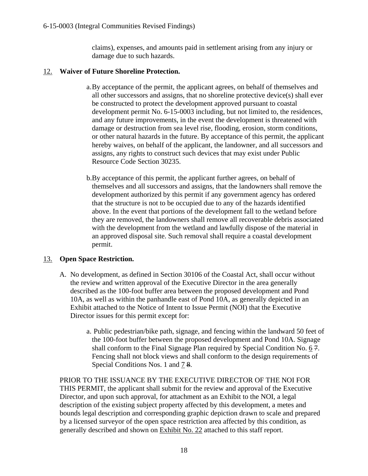claims), expenses, and amounts paid in settlement arising from any injury or damage due to such hazards.

# 12. **Waiver of Future Shoreline Protection.**

- a.By acceptance of the permit, the applicant agrees, on behalf of themselves and all other successors and assigns, that no shoreline protective device(s) shall ever be constructed to protect the development approved pursuant to coastal development permit No. 6-15-0003 including, but not limited to, the residences, and any future improvements, in the event the development is threatened with damage or destruction from sea level rise, flooding, erosion, storm conditions, or other natural hazards in the future. By acceptance of this permit, the applicant hereby waives, on behalf of the applicant, the landowner, and all successors and assigns, any rights to construct such devices that may exist under Public Resource Code Section 30235.
- b.By acceptance of this permit, the applicant further agrees, on behalf of themselves and all successors and assigns, that the landowners shall remove the development authorized by this permit if any government agency has ordered that the structure is not to be occupied due to any of the hazards identified above. In the event that portions of the development fall to the wetland before they are removed, the landowners shall remove all recoverable debris associated with the development from the wetland and lawfully dispose of the material in an approved disposal site. Such removal shall require a coastal development permit.

# 13. **Open Space Restriction.**

- A. No development, as defined in Section 30106 of the Coastal Act, shall occur without the review and written approval of the Executive Director in the area generally described as the 100-foot buffer area between the proposed development and Pond 10A, as well as within the panhandle east of Pond 10A, as generally depicted in an Exhibit attached to the Notice of Intent to Issue Permit (NOI) that the Executive Director issues for this permit except for:
	- a. Public pedestrian/bike path, signage, and fencing within the landward 50 feet of the 100-foot buffer between the proposed development and Pond 10A. Signage shall conform to the Final Signage Plan required by Special Condition No. 6 7. Fencing shall not block views and shall conform to the design requirements of Special Conditions Nos. 1 and 7 8.

PRIOR TO THE ISSUANCE BY THE EXECUTIVE DIRECTOR OF THE NOI FOR THIS PERMIT, the applicant shall submit for the review and approval of the Executive Director, and upon such approval, for attachment as an Exhibit to the NOI, a legal description of the existing subject property affected by this development, a metes and bounds legal description and corresponding graphic depiction drawn to scale and prepared by a licensed surveyor of the open space restriction area affected by this condition, as generally described and shown on Exhibit No. 22 attached to this staff report.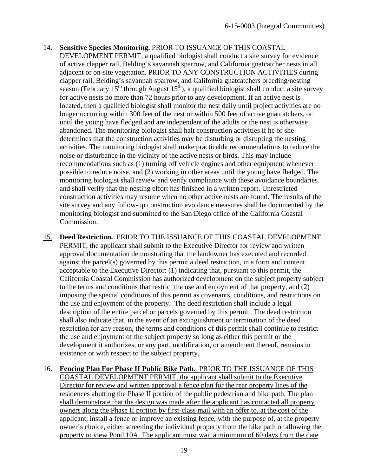- 14. **Sensitive Species Monitoring.** PRIOR TO ISSUANCE OF THIS COASTAL DEVELOPMENT PERMIT, a qualified biologist shall conduct a site survey for evidence of active clapper rail, Belding's savannah sparrow, and California gnatcatcher nests in all adjacent or on-site vegetation. PRIOR TO ANY CONSTRUCTION ACTIVITIES during clapper rail, Belding's savannah sparrow, and California gnatcatchers breeding/nesting season (February  $15^{th}$  through August  $15^{th}$ ), a qualified biologist shall conduct a site survey for active nests no more than 72 hours prior to any development. If an active nest is located, then a qualified biologist shall monitor the nest daily until project activities are no longer occurring within 300 feet of the nest or within 500 feet of active gnatcatchers, or until the young have fledged and are independent of the adults or the nest is otherwise abandoned. The monitoring biologist shall halt construction activities if he or she determines that the construction activities may be disturbing or disrupting the nesting activities. The monitoring biologist shall make practicable recommendations to reduce the noise or disturbance in the vicinity of the active nests or birds. This may include recommendations such as (1) turning off vehicle engines and other equipment whenever possible to reduce noise, and (2) working in other areas until the young have fledged. The monitoring biologist shall review and verify compliance with these avoidance boundaries and shall verify that the nesting effort has finished in a written report. Unrestricted construction activities may resume when no other active nests are found. The results of the site survey and any follow-up construction avoidance measures shall be documented by the monitoring biologist and submitted to the San Diego office of the California Coastal Commission.
- 15. **Deed Restriction.** PRIOR TO THE ISSUANCE OF THIS COASTAL DEVELOPMENT PERMIT, the applicant shall submit to the Executive Director for review and written approval documentation demonstrating that the landowner has executed and recorded against the parcel(s) governed by this permit a deed restriction, in a form and content acceptable to the Executive Director: (1) indicating that, pursuant to this permit, the California Coastal Commission has authorized development on the subject property subject to the terms and conditions that restrict the use and enjoyment of that property, and (2) imposing the special conditions of this permit as covenants, conditions, and restrictions on the use and enjoyment of the property. The deed restriction shall include a legal description of the entire parcel or parcels governed by this permit. The deed restriction shall also indicate that, in the event of an extinguishment or termination of the deed restriction for any reason, the terms and conditions of this permit shall continue to restrict the use and enjoyment of the subject property so long as either this permit or the development it authorizes, or any part, modification, or amendment thereof, remains in existence or with respect to the subject property.
- 16. **Fencing Plan For Phase II Public Bike Path.** PRIOR TO THE ISSUANCE OF THIS COASTAL DEVELOPMENT PERMIT, the applicant shall submit to the Executive Director for review and written approval a fence plan for the rear property lines of the residences abutting the Phase II portion of the public pedestrian and bike path. The plan shall demonstrate that the design was made after the applicant has contacted all property owners along the Phase II portion by first-class mail with an offer to, at the cost of the applicant, install a fence or improve an existing fence, with the purpose of, at the property owner's choice, either screening the individual property from the bike path or allowing the property to view Pond 10A. The applicant must wait a minimum of 60 days from the date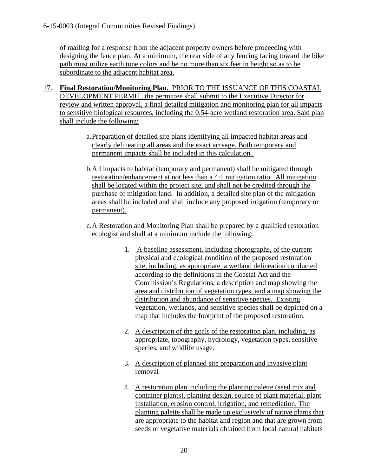of mailing for a response from the adjacent property owners before proceeding with designing the fence plan. At a minimum, the rear side of any fencing facing toward the bike path must utilize earth tone colors and be no more than six feet in height so as to be subordinate to the adjacent habitat area.

- 17. **Final Restoration/Monitoring Plan.** PRIOR TO THE ISSUANCE OF THIS COASTAL DEVELOPMENT PERMIT, the permittee shall submit to the Executive Director for review and written approval, a final detailed mitigation and monitoring plan for all impacts to sensitive biological resources, including the 0.54-acre wetland restoration area. Said plan shall include the following:
	- a.Preparation of detailed site plans identifying all impacted habitat areas and clearly delineating all areas and the exact acreage. Both temporary and permanent impacts shall be included in this calculation.
	- b.All impacts to habitat (temporary and permanent) shall be mitigated through restoration/enhancement at not less than a 4:1 mitigation ratio. All mitigation shall be located within the project site, and shall not be credited through the purchase of mitigation land. In addition, a detailed site plan of the mitigation areas shall be included and shall include any proposed irrigation (temporary or permanent).
	- c.A Restoration and Monitoring Plan shall be prepared by a qualified restoration ecologist and shall at a minimum include the following:
		- 1. A baseline assessment, including photographs, of the current physical and ecological condition of the proposed restoration site, including, as appropriate, a wetland delineation conducted according to the definitions in the Coastal Act and the Commission's Regulations, a description and map showing the area and distribution of vegetation types, and a map showing the distribution and abundance of sensitive species. Existing vegetation, wetlands, and sensitive species shall be depicted on a map that includes the footprint of the proposed restoration.
		- 2. A description of the goals of the restoration plan, including, as appropriate, topography, hydrology, vegetation types, sensitive species, and wildlife usage.
		- 3. A description of planned site preparation and invasive plant removal
		- 4. A restoration plan including the planting palette (seed mix and container plants), planting design, source of plant material, plant installation, erosion control, irrigation, and remediation. The planting palette shall be made up exclusively of native plants that are appropriate to the habitat and region and that are grown from seeds or vegetative materials obtained from local natural habitats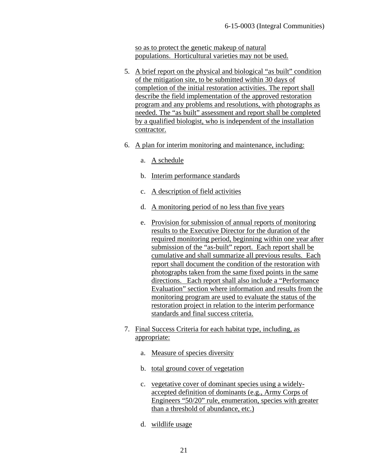so as to protect the genetic makeup of natural populations. Horticultural varieties may not be used.

- 5. A brief report on the physical and biological "as built" condition of the mitigation site, to be submitted within 30 days of completion of the initial restoration activities. The report shall describe the field implementation of the approved restoration program and any problems and resolutions, with photographs as needed. The "as built" assessment and report shall be completed by a qualified biologist, who is independent of the installation contractor.
- 6. A plan for interim monitoring and maintenance, including:
	- a. A schedule
	- b. Interim performance standards
	- c. A description of field activities
	- d. A monitoring period of no less than five years
	- e. Provision for submission of annual reports of monitoring results to the Executive Director for the duration of the required monitoring period, beginning within one year after submission of the "as-built" report. Each report shall be cumulative and shall summarize all previous results. Each report shall document the condition of the restoration with photographs taken from the same fixed points in the same directions. Each report shall also include a "Performance Evaluation" section where information and results from the monitoring program are used to evaluate the status of the restoration project in relation to the interim performance standards and final success criteria.
- 7. Final Success Criteria for each habitat type, including, as appropriate:
	- a. Measure of species diversity
	- b. total ground cover of vegetation
	- c. vegetative cover of dominant species using a widelyaccepted definition of dominants (e.g., Army Corps of Engineers "50/20" rule, enumeration, species with greater than a threshold of abundance, etc.)
	- d. wildlife usage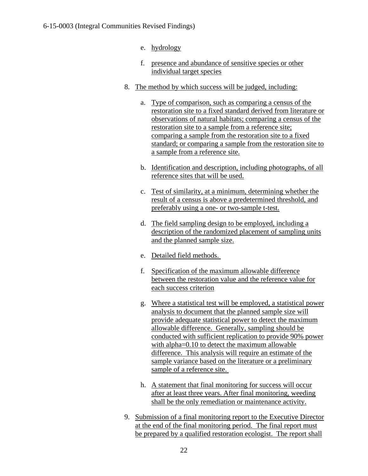- e. hydrology
- f. presence and abundance of sensitive species or other individual target species
- 8. The method by which success will be judged, including:
	- a. Type of comparison, such as comparing a census of the restoration site to a fixed standard derived from literature or observations of natural habitats; comparing a census of the restoration site to a sample from a reference site; comparing a sample from the restoration site to a fixed standard; or comparing a sample from the restoration site to a sample from a reference site.
	- b. Identification and description, including photographs, of all reference sites that will be used.
	- c. Test of similarity, at a minimum, determining whether the result of a census is above a predetermined threshold, and preferably using a one- or two-sample t-test.
	- d. The field sampling design to be employed, including a description of the randomized placement of sampling units and the planned sample size.
	- e. Detailed field methods.
	- f. Specification of the maximum allowable difference between the restoration value and the reference value for each success criterion
	- g. Where a statistical test will be employed, a statistical power analysis to document that the planned sample size will provide adequate statistical power to detect the maximum allowable difference. Generally, sampling should be conducted with sufficient replication to provide 90% power with alpha=0.10 to detect the maximum allowable difference. This analysis will require an estimate of the sample variance based on the literature or a preliminary sample of a reference site.
	- h. A statement that final monitoring for success will occur after at least three years. After final monitoring, weeding shall be the only remediation or maintenance activity.
- 9. Submission of a final monitoring report to the Executive Director at the end of the final monitoring period. The final report must be prepared by a qualified restoration ecologist. The report shall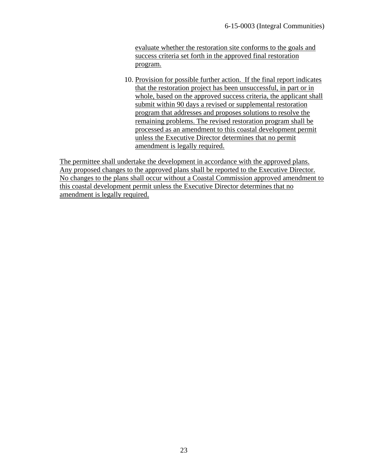evaluate whether the restoration site conforms to the goals and success criteria set forth in the approved final restoration program.

10. Provision for possible further action. If the final report indicates that the restoration project has been unsuccessful, in part or in whole, based on the approved success criteria, the applicant shall submit within 90 days a revised or supplemental restoration program that addresses and proposes solutions to resolve the remaining problems. The revised restoration program shall be processed as an amendment to this coastal development permit unless the Executive Director determines that no permit amendment is legally required.

The permittee shall undertake the development in accordance with the approved plans. Any proposed changes to the approved plans shall be reported to the Executive Director. No changes to the plans shall occur without a Coastal Commission approved amendment to this coastal development permit unless the Executive Director determines that no amendment is legally required.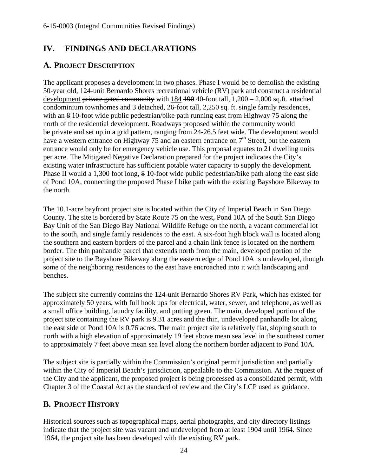# <span id="page-26-0"></span>**IV. FINDINGS AND DECLARATIONS**

# <span id="page-26-1"></span>**A. PROJECT DESCRIPTION**

The applicant proposes a development in two phases. Phase I would be to demolish the existing 50-year old, 124-unit Bernardo Shores recreational vehicle (RV) park and construct a residential development private gated community with  $184$  190 40-foot tall,  $1,200 - 2,000$  sq.ft. attached condominium townhomes and 3 detached, 26-foot tall, 2,250 sq. ft. single family residences, with an 8 10-foot wide public pedestrian/bike path running east from Highway 75 along the north of the residential development. Roadways proposed within the community would be private and set up in a grid pattern, ranging from 24-26.5 feet wide. The development would have a western entrance on Highway 75 and an eastern entrance on  $7<sup>th</sup>$  Street, but the eastern entrance would only be for emergency vehicle use. This proposal equates to 21 dwelling units per acre. The Mitigated Negative Declaration prepared for the project indicates the City's existing water infrastructure has sufficient potable water capacity to supply the development. Phase II would a 1,300 foot long, 8 10-foot wide public pedestrian/bike path along the east side of Pond 10A, connecting the proposed Phase I bike path with the existing Bayshore Bikeway to the north.

The 10.1-acre bayfront project site is located within the City of Imperial Beach in San Diego County. The site is bordered by State Route 75 on the west, Pond 10A of the South San Diego Bay Unit of the San Diego Bay National Wildlife Refuge on the north, a vacant commercial lot to the south, and single family residences to the east. A six-foot high block wall is located along the southern and eastern borders of the parcel and a chain link fence is located on the northern border. The thin panhandle parcel that extends north from the main, developed portion of the project site to the Bayshore Bikeway along the eastern edge of Pond 10A is undeveloped, though some of the neighboring residences to the east have encroached into it with landscaping and benches.

The subject site currently contains the 124-unit Bernardo Shores RV Park, which has existed for approximately 50 years, with full hook ups for electrical, water, sewer, and telephone, as well as a small office building, laundry facility, and putting green. The main, developed portion of the project site containing the RV park is 9.31 acres and the thin, undeveloped panhandle lot along the east side of Pond 10A is 0.76 acres. The main project site is relatively flat, sloping south to north with a high elevation of approximately 19 feet above mean sea level in the southeast corner to approximately 7 feet above mean sea level along the northern border adjacent to Pond 10A.

The subject site is partially within the Commission's original permit jurisdiction and partially within the City of Imperial Beach's jurisdiction, appealable to the Commission. At the request of the City and the applicant, the proposed project is being processed as a consolidated permit, with Chapter 3 of the Coastal Act as the standard of review and the City's LCP used as guidance.

# <span id="page-26-2"></span>**B. PROJECT HISTORY**

Historical sources such as topographical maps, aerial photographs, and city directory listings indicate that the project site was vacant and undeveloped from at least 1904 until 1964. Since 1964, the project site has been developed with the existing RV park.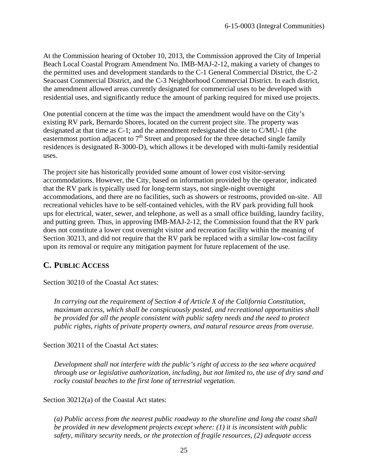At the Commission hearing of October 10, 2013, the Commission approved the City of Imperial Beach Local Coastal Program Amendment No. IMB-MAJ-2-12, making a variety of changes to the permitted uses and development standards to the C-1 General Commercial District, the C-2 Seacoast Commercial District, and the C-3 Neighborhood Commercial District. In each district, the amendment allowed areas currently designated for commercial uses to be developed with residential uses, and significantly reduce the amount of parking required for mixed use projects.

One potential concern at the time was the impact the amendment would have on the City's existing RV park, Bernardo Shores, located on the current project site. The property was designated at that time as C-1; and the amendment redesignated the site to C/MU-1 (the easternmost portion adjacent to  $7<sup>th</sup>$  Street and proposed for the three detached single family residences is designated R-3000-D), which allows it be developed with multi-family residential uses.

The project site has historically provided some amount of lower cost visitor-serving accommodations. However, the City, based on information provided by the operator, indicated that the RV park is typically used for long-term stays, not single-night overnight accommodations, and there are no facilities, such as showers or restrooms, provided on-site. All recreational vehicles have to be self-contained vehicles, with the RV park providing full hook ups for electrical, water, sewer, and telephone, as well as a small office building, laundry facility, and putting green. Thus, in approving IMB-MAJ-2-12, the Commission found that the RV park does not constitute a lower cost overnight visitor and recreation facility within the meaning of Section 30213, and did not require that the RV park be replaced with a similar low-cost facility upon its removal or require any mitigation payment for future replacement of the use.

# <span id="page-27-0"></span>**C. PUBLIC ACCESS**

Section 30210 of the Coastal Act states:

*In carrying out the requirement of Section 4 of Article X of the California Constitution, maximum access, which shall be conspicuously posted, and recreational opportunities shall be provided for all the people consistent with public safety needs and the need to protect public rights, rights of private property owners, and natural resource areas from overuse.*

Section 30211 of the Coastal Act states:

*Development shall not interfere with the public's right of access to the sea where acquired through use or legislative authorization, including, but not limited to, the use of dry sand and rocky coastal beaches to the first lone of terrestrial vegetation.*

Section 30212(a) of the Coastal Act states:

*(a) Public access from the nearest public roadway to the shoreline and long the coast shall be provided in new development projects except where: (1) it is inconsistent with public safety, military security needs, or the protection of fragile resources, (2) adequate access*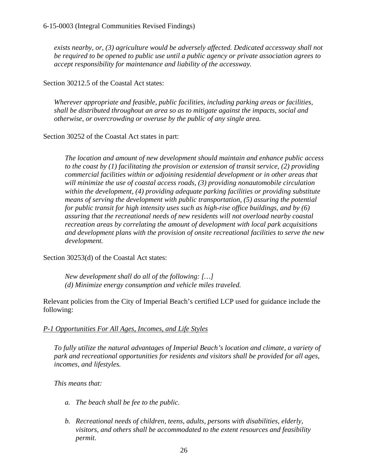*exists nearby, or, (3) agriculture would be adversely affected. Dedicated accessway shall not be required to be opened to public use until a public agency or private association agrees to accept responsibility for maintenance and liability of the accessway.*

Section 30212.5 of the Coastal Act states:

*Wherever appropriate and feasible, public facilities, including parking areas or facilities, shall be distributed throughout an area so as to mitigate against the impacts, social and otherwise, or overcrowding or overuse by the public of any single area.*

Section 30252 of the Coastal Act states in part:

*The location and amount of new development should maintain and enhance public access to the coast by (1) facilitating the provision or extension of transit service, (2) providing commercial facilities within or adjoining residential development or in other areas that will minimize the use of coastal access roads, (3) providing nonautomobile circulation within the development, (4) providing adequate parking facilities or providing substitute means of serving the development with public transportation, (5) assuring the potential for public transit for high intensity uses such as high-rise office buildings, and by (6) assuring that the recreational needs of new residents will not overload nearby coastal recreation areas by correlating the amount of development with local park acquisitions and development plans with the provision of onsite recreational facilities to serve the new development.* 

Section 30253(d) of the Coastal Act states:

*New development shall do all of the following: […] (d) Minimize energy consumption and vehicle miles traveled.*

Relevant policies from the City of Imperial Beach's certified LCP used for guidance include the following:

# *P-1 Opportunities For All Ages, Incomes, and Life Styles*

*To fully utilize the natural advantages of Imperial Beach's location and climate, a variety of park and recreational opportunities for residents and visitors shall be provided for all ages, incomes, and lifestyles.*

# *This means that:*

- *a. The beach shall be fee to the public.*
- *b. Recreational needs of children, teens, adults, persons with disabilities, elderly, visitors, and others shall be accommodated to the extent resources and feasibility permit.*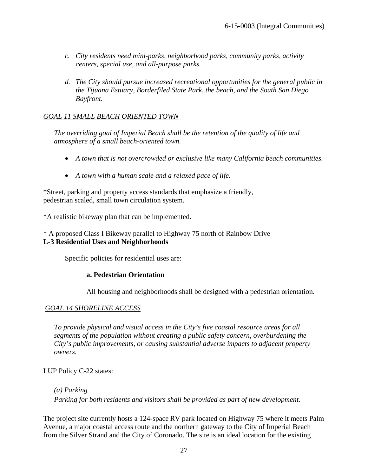- *c. City residents need mini-parks, neighborhood parks, community parks, activity centers, special use, and all-purpose parks.*
- *d. The City should pursue increased recreational opportunities for the general public in the Tijuana Estuary, Borderfiled State Park, the beach, and the South San Diego Bayfront.*

# *GOAL 11 SMALL BEACH ORIENTED TOWN*

*The overriding goal of Imperial Beach shall be the retention of the quality of life and atmosphere of a small beach-oriented town.* 

- *A town that is not overcrowded or exclusive like many California beach communities.*
- *A town with a human scale and a relaxed pace of life.*

\*Street, parking and property access standards that emphasize a friendly, pedestrian scaled, small town circulation system.

\*A realistic bikeway plan that can be implemented.

\* A proposed Class I Bikeway parallel to Highway 75 north of Rainbow Drive **L-3 Residential Uses and Neighborhoods**

Specific policies for residential uses are:

#### **a. Pedestrian Orientation**

All housing and neighborhoods shall be designed with a pedestrian orientation.

# *GOAL 14 SHORELINE ACCESS*

*To provide physical and visual access in the City's five coastal resource areas for all segments of the population without creating a public safety concern, overburdening the City's public improvements, or causing substantial adverse impacts to adjacent property owners.*

LUP Policy C-22 states:

*(a) Parking* 

*Parking for both residents and visitors shall be provided as part of new development.*

The project site currently hosts a 124-space RV park located on Highway 75 where it meets Palm Avenue, a major coastal access route and the northern gateway to the City of Imperial Beach from the Silver Strand and the City of Coronado. The site is an ideal location for the existing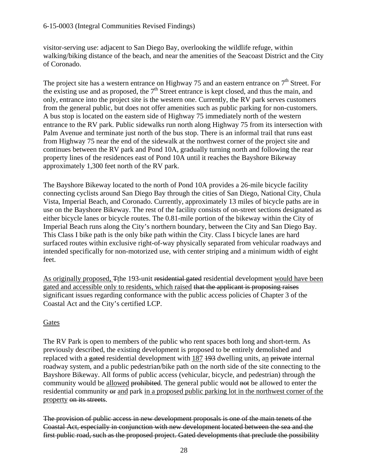## 6-15-0003 (Integral Communities Revised Findings)

visitor-serving use: adjacent to San Diego Bay, overlooking the wildlife refuge, within walking/biking distance of the beach, and near the amenities of the Seacoast District and the City of Coronado.

The project site has a western entrance on Highway 75 and an eastern entrance on  $7<sup>th</sup>$  Street. For the existing use and as proposed, the  $7<sup>th</sup>$  Street entrance is kept closed, and thus the main, and only, entrance into the project site is the western one. Currently, the RV park serves customers from the general public, but does not offer amenities such as public parking for non-customers. A bus stop is located on the eastern side of Highway 75 immediately north of the western entrance to the RV park. Public sidewalks run north along Highway 75 from its intersection with Palm Avenue and terminate just north of the bus stop. There is an informal trail that runs east from Highway 75 near the end of the sidewalk at the northwest corner of the project site and continues between the RV park and Pond 10A, gradually turning north and following the rear property lines of the residences east of Pond 10A until it reaches the Bayshore Bikeway approximately 1,300 feet north of the RV park.

The Bayshore Bikeway located to the north of Pond 10A provides a 26-mile bicycle facility connecting cyclists around San Diego Bay through the cities of San Diego, National City, Chula Vista, Imperial Beach, and Coronado. Currently, approximately 13 miles of bicycle paths are in use on the Bayshore Bikeway. The rest of the facility consists of on-street sections designated as either bicycle lanes or bicycle routes. The 0.81-mile portion of the bikeway within the City of Imperial Beach runs along the City's northern boundary, between the City and San Diego Bay. This Class I bike path is the only bike path within the City. Class I bicycle lanes are hard surfaced routes within exclusive right-of-way physically separated from vehicular roadways and intended specifically for non-motorized use, with center striping and a minimum width of eight feet.

As originally proposed, Tthe 193-unit residential gated residential development would have been gated and accessible only to residents, which raised that the applicant is proposing raises significant issues regarding conformance with the public access policies of Chapter 3 of the Coastal Act and the City's certified LCP.

# Gates

The RV Park is open to members of the public who rent spaces both long and short-term. As previously described, the existing development is proposed to be entirely demolished and replaced with a gated residential development with 187 193 dwelling units, an private internal roadway system, and a public pedestrian/bike path on the north side of the site connecting to the Bayshore Bikeway. All forms of public access (vehicular, bicycle, and pedestrian) through the community would be allowed prohibited. The general public would not be allowed to enter the residential community or and park in a proposed public parking lot in the northwest corner of the property on its streets.

The provision of public access in new development proposals is one of the main tenets of the Coastal Act, especially in conjunction with new development located between the sea and the first public road, such as the proposed project. Gated developments that preclude the possibility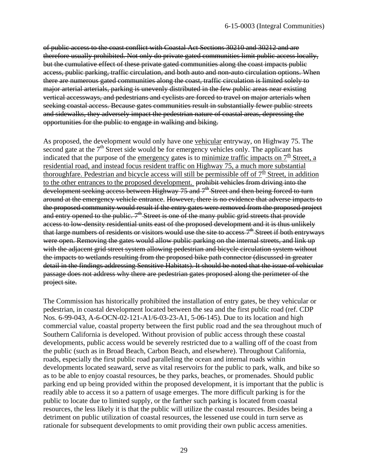of public access to the coast conflict with Coastal Act Sections 30210 and 30212 and are therefore usually prohibited. Not only do private gated communities limit public access locally, but the cumulative effect of these private gated communities along the coast impacts public access, public parking, traffic circulation, and both auto and non-auto circulation options. When there are numerous gated communities along the coast, traffic circulation is limited solely to major arterial arterials, parking is unevenly distributed in the few public areas near existing vertical accessways, and pedestrians and cyclists are forced to travel on major arterials when seeking coastal access. Because gates communities result in substantially fewer public streets and sidewalks, they adversely impact the pedestrian nature of coastal areas, depressing the opportunities for the public to engage in walking and biking.

As proposed, the development would only have one vehicular entryway, on Highway 75. The second gate at the  $7<sup>th</sup>$  Street side would be for emergency vehicles only. The applicant has indicated that the purpose of the emergency gates is to minimize traffic impacts on  $7<sup>th</sup>$  Street, a residential road, and instead focus resident traffic on Highway 75, a much more substantial thoroughfare. Pedestrian and bicycle access will still be permissible off of  $7<sup>th</sup>$  Street, in addition to the other entrances to the proposed development. prohibit vehicles from driving into the development seeking access between Highway 75 and 7<sup>th</sup> Street and then being forced to turn around at the emergency vehicle entrance. However, there is no evidence that adverse impacts to the proposed community would result if the entry gates were removed from the proposed project and entry opened to the public.  $7<sup>th</sup>$  Street is one of the many public grid streets that provide access to low-density residential units east of the proposed development and it is thus unlikely that large numbers of residents or visitors would use the site to access  $7<sup>th</sup>$  Street if both entryways were open. Removing the gates would allow public parking on the internal streets, and link up with the adjacent grid street system allowing pedestrian and bicycle circulation system without the impacts to wetlands resulting from the proposed bike path connector (discussed in greater detail in the findings addressing Sensitive Habitats). It should be noted that the issue of vehicular passage does not address why there are pedestrian gates proposed along the perimeter of the project site.

The Commission has historically prohibited the installation of entry gates, be they vehicular or pedestrian, in coastal development located between the sea and the first public road (ref. CDP Nos. 6-99-043, A-6-OCN-02-121-A1/6-03-23-A1, 5-06-145). Due to its location and high commercial value, coastal property between the first public road and the sea throughout much of Southern California is developed. Without provision of public access through these coastal developments, public access would be severely restricted due to a walling off of the coast from the public (such as in Broad Beach, Carbon Beach, and elsewhere). Throughout California, roads, especially the first public road paralleling the ocean and internal roads within developments located seaward, serve as vital reservoirs for the public to park, walk, and bike so as to be able to enjoy coastal resources, be they parks, beaches, or promenades. Should public parking end up being provided within the proposed development, it is important that the public is readily able to access it so a pattern of usage emerges. The more difficult parking is for the public to locate due to limited supply, or the farther such parking is located from coastal resources, the less likely it is that the public will utilize the coastal resources. Besides being a detriment on public utilization of coastal resources, the lessened use could in turn serve as rationale for subsequent developments to omit providing their own public access amenities.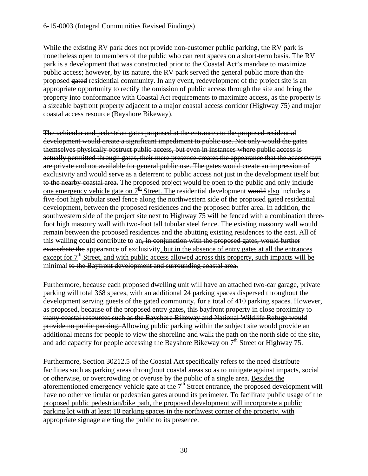While the existing RV park does not provide non-customer public parking, the RV park is nonetheless open to members of the public who can rent spaces on a short-term basis. The RV park is a development that was constructed prior to the Coastal Act's mandate to maximize public access; however, by its nature, the RV park served the general public more than the proposed gated residential community. In any event, redevelopment of the project site is an appropriate opportunity to rectify the omission of public access through the site and bring the property into conformance with Coastal Act requirements to maximize access, as the property is a sizeable bayfront property adjacent to a major coastal access corridor (Highway 75) and major coastal access resource (Bayshore Bikeway).

The vehicular and pedestrian gates proposed at the entrances to the proposed residential development would create a significant impediment to public use. Not only would the gates themselves physically obstruct public access, but even in instances where public access is actually permitted through gates, their mere presence creates the appearance that the accessways are private and not available for general public use. The gates would create an impression of exclusivity and would serve as a deterrent to public access not just in the development itself but to the nearby coastal area. The proposed project would be open to the public and only include one emergency vehicle gate on  $7<sup>th</sup>$  Street. The residential development would also includes a five-foot high tubular steel fence along the northwestern side of the proposed gated residential development, between the proposed residences and the proposed buffer area. In addition, the southwestern side of the project site next to Highway 75 will be fenced with a combination threefoot high masonry wall with two-foot tall tubular steel fence. The existing masonry wall would remain between the proposed residences and the abutting existing residences to the east. All of this walling could contribute to an, in conjunction with the proposed gates, would further exacerbate the appearance of exclusivity, but in the absence of entry gates at all the entrances except for  $7<sup>th</sup>$  Street, and with public access allowed across this property, such impacts will be minimal to the Bayfront development and surrounding coastal area.

Furthermore, because each proposed dwelling unit will have an attached two-car garage, private parking will total 368 spaces, with an additional 24 parking spaces dispersed throughout the development serving guests of the gated community, for a total of 410 parking spaces. However, as proposed, because of the proposed entry gates, this bayfront property in close proximity to many coastal resources such as the Bayshore Bikeway and National Wildlife Refuge would provide no public parking. Allowing public parking within the subject site would provide an additional means for people to view the shoreline and walk the path on the north side of the site, and add capacity for people accessing the Bayshore Bikeway on  $7<sup>th</sup>$  Street or Highway 75.

Furthermore, Section 30212.5 of the Coastal Act specifically refers to the need distribute facilities such as parking areas throughout coastal areas so as to mitigate against impacts, social or otherwise, or overcrowding or overuse by the public of a single area. Besides the aforementioned emergency vehicle gate at the  $7<sup>th</sup>$  Street entrance, the proposed development will have no other vehicular or pedestrian gates around its perimeter. To facilitate public usage of the proposed public pedestrian/bike path, the proposed development will incorporate a public parking lot with at least 10 parking spaces in the northwest corner of the property, with appropriate signage alerting the public to its presence.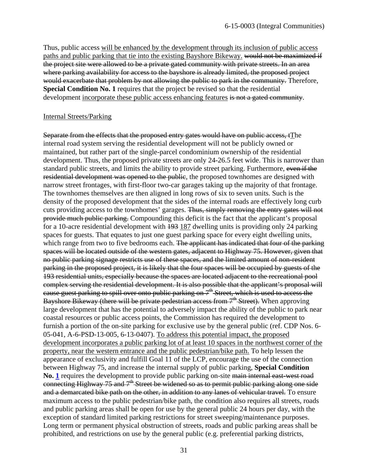Thus, public access will be enhanced by the development through its inclusion of public access paths and public parking that tie into the existing Bayshore Bikeway. would not be maximized if the project site were allowed to be a private gated community with private streets. In an area where parking availability for access to the bayshore is already limited, the proposed project would exacerbate that problem by not allowing the public to park in the community. Therefore, **Special Condition No. 1** requires that the project be revised so that the residential development incorporate these public access enhancing features is not a gated community.

#### Internal Streets/Parking

Separate from the effects that the proposed entry gates would have on public access, tThe internal road system serving the residential development will not be publicly owned or maintained, but rather part of the single-parcel condominium ownership of the residential development. Thus, the proposed private streets are only 24-26.5 feet wide. This is narrower than standard public streets, and limits the ability to provide street parking. Furthermore, even if the residential development was opened to the public, the proposed townhomes are designed with narrow street frontages, with first-floor two-car garages taking up the majority of that frontage. The townhomes themselves are then aligned in long rows of six to seven units. Such is the density of the proposed development that the sides of the internal roads are effectively long curb cuts providing access to the townhomes' garages. Thus, simply removing the entry gates will not provide much public parking. Compounding this deficit is the fact that the applicant's proposal for a 10-acre residential development with 193 187 dwelling units is providing only 24 parking spaces for guests. That equates to just one guest parking space for every eight dwelling units, which range from two to five bedrooms each. The applicant has indicated that four of the parking spaces will be located outside of the western gates, adjacent to Highway 75. However, given that no public parking signage restricts use of these spaces, and the limited amount of non-resident parking in the proposed project, it is likely that the four spaces will be occupied by guests of the 193 residential units, especially because the spaces are located adjacent to the recreational pool complex serving the residential development. It is also possible that the applicant's proposal will cause guest parking to spill over onto public parking on 7<sup>th</sup> Street, which is used to access the Bayshore Bikeway (there will be private pedestrian access from  $7<sup>th</sup>$  Street). When approving large development that has the potential to adversely impact the ability of the public to park near coastal resources or public access points, the Commission has required the development to furnish a portion of the on-site parking for exclusive use by the general public (ref. CDP Nos. 6- 05-041, A-6-PSD-13-005, 6-13-0407). To address this potential impact, the proposed development incorporates a public parking lot of at least 10 spaces in the northwest corner of the property, near the western entrance and the public pedestrian/bike path. To help lessen the appearance of exclusivity and fulfill Goal 11 of the LCP, encourage the use of the connection between Highway 75, and increase the internal supply of public parking, **Special Condition No. [1](#page-11-2)** requires the development to provide public parking on-site main internal east-west road connecting Highway 75 and 7<sup>th</sup> Street be widened so as to permit public parking along one side and a demarcated bike path on the other, in addition to any lanes of vehicular travel. To ensure maximum access to the public pedestrian/bike path, the condition also requires all streets, roads and public parking areas shall be open for use by the general public 24 hours per day, with the exception of standard limited parking restrictions for street sweeping/maintenance purposes. Long term or permanent physical obstruction of streets, roads and public parking areas shall be prohibited, and restrictions on use by the general public (e.g. preferential parking districts,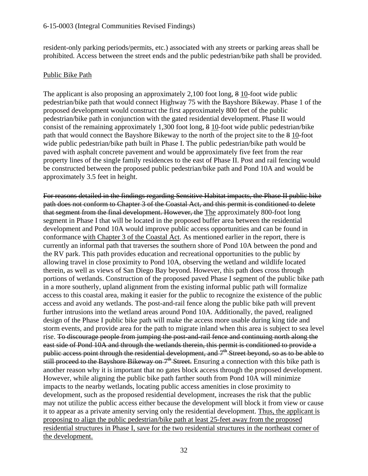resident-only parking periods/permits, etc.) associated with any streets or parking areas shall be prohibited. Access between the street ends and the public pedestrian/bike path shall be provided.

#### Public Bike Path

The applicant is also proposing an approximately 2,100 foot long, 8 10-foot wide public pedestrian/bike path that would connect Highway 75 with the Bayshore Bikeway. Phase 1 of the proposed development would construct the first approximately 800 feet of the public pedestrian/bike path in conjunction with the gated residential development. Phase II would consist of the remaining approximately 1,300 foot long, 8 10-foot wide public pedestrian/bike path that would connect the Bayshore Bikeway to the north of the project site to the 8 10-foot wide public pedestrian/bike path built in Phase I. The public pedestrian/bike path would be paved with asphalt concrete pavement and would be approximately five feet from the rear property lines of the single family residences to the east of Phase II. Post and rail fencing would be constructed between the proposed public pedestrian/bike path and Pond 10A and would be approximately 3.5 feet in height.

For reasons detailed in the findings regarding Sensitive Habitat impacts, the Phase II public bike path does not conform to Chapter 3 of the Coastal Act, and this permit is conditioned to delete that segment from the final development. However, the The approximately 800-foot long segment in Phase I that will be located in the proposed buffer area between the residential development and Pond 10A would improve public access opportunities and can be found in conformance with Chapter 3 of the Coastal Act. As mentioned earlier in the report, there is currently an informal path that traverses the southern shore of Pond 10A between the pond and the RV park. This path provides education and recreational opportunities to the public by allowing travel in close proximity to Pond 10A, observing the wetland and wildlife located therein, as well as views of San Diego Bay beyond. However, this path does cross through portions of wetlands. Construction of the proposed paved Phase I segment of the public bike path in a more southerly, upland alignment from the existing informal public path will formalize access to this coastal area, making it easier for the public to recognize the existence of the public access and avoid any wetlands. The post-and-rail fence along the public bike path will prevent further intrusions into the wetland areas around Pond 10A. Additionally, the paved, realigned design of the Phase I public bike path will make the access more usable during king tide and storm events, and provide area for the path to migrate inland when this area is subject to sea level rise. To discourage people from jumping the post-and-rail fence and continuing north along the east side of Pond 10A and through the wetlands therein, this permit is conditioned to provide a public access point through the residential development, and  $7<sup>th</sup>$  Street beyond, so as to be able to still proceed to the Bayshore Bikeway on  $7<sup>th</sup>$  Street. Ensuring a connection with this bike path is another reason why it is important that no gates block access through the proposed development. However, while aligning the public bike path farther south from Pond 10A will minimize impacts to the nearby wetlands, locating public access amenities in close proximity to development, such as the proposed residential development, increases the risk that the public may not utilize the public access either because the development will block it from view or cause it to appear as a private amenity serving only the residential development. Thus, the applicant is proposing to align the public pedestrian/bike path at least 25-feet away from the proposed residential structures in Phase I, save for the two residential structures in the northeast corner of the development.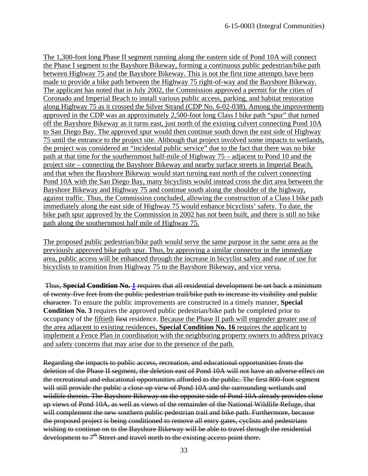The 1,300-foot long Phase II segment running along the eastern side of Pond 10A will connect the Phase I segment to the Bayshore Bikeway, forming a continuous public pedestrian/bike path between Highway 75 and the Bayshore Bikeway. This is not the first time attempts have been made to provide a bike path between the Highway 75 right-of-way and the Bayshore Bikeway. The applicant has noted that in July 2002, the Commission approved a permit for the cities of Coronado and Imperial Beach to install various public access, parking, and habitat restoration along Highway 75 as it crossed the Silver Strand (CDP No. 6-02-038). Among the improvements approved in the CDP was an approximately 2,500-foot long Class I bike path "spur" that turned off the Bayshore Bikeway as it turns east, just north of the existing culvert connecting Pond 10A to San Diego Bay. The approved spur would then continue south down the east side of Highway 75 until the entrance to the project site. Although that project involved some impacts to wetlands, the project was considered an "incidental public service" due to the fact that there was no bike path at that time for the southernmost half-mile of Highway 75 – adjacent to Pond 10 and the project site – connecting the Bayshore Bikeway and nearby surface streets in Imperial Beach, and that when the Bayshore Bikeway would start turning east north of the culvert connecting Pond 10A with the San Diego Bay, many bicyclists would instead cross the dirt area between the Bayshore Bikeway and Highway 75 and continue south along the shoulder of the highway, against traffic. Thus, the Commission concluded, allowing the construction of a Class I bike path immediately along the east side of Highway 75 would enhance bicyclists' safety. To date, the bike path spur approved by the Commission in 2002 has not been built, and there is still no bike path along the southernmost half mile of Highway 75.

The proposed public pedestrian/bike path would serve the same purpose in the same area as the previously approved bike path spur. Thus, by approving a similar connector in the immediate area, public access will be enhanced through the increase in bicyclist safety and ease of use for bicyclists to transition from Highway 75 to the Bayshore Bikeway, and vice versa.

Thus, **Special Condition No. [1](#page-11-2)** requires that all residential development be set back a minimum of twenty-five feet from the public pedestrian trail/bike path to increase its visibility and public character. To ensure the public improvements are constructed in a timely manner, **Special Condition No. 3** requires the approved public pedestrian/bike path be completed prior to occupancy of the fiftieth first residence. Because the Phase II path will engender greater use of the area adjacent to existing residences, **Special Condition No. 16** requires the applicant to implement a Fence Plan in coordination with the neighboring property owners to address privacy and safety concerns that may arise due to the presence of the path.

Regarding the impacts to public access, recreation, and educational opportunities from the deletion of the Phase II segment, the deletion east of Pond 10A will not have an adverse effect on the recreational and educational opportunities afforded to the public. The first 800-foot segment will still provide the public a close-up view of Pond 10A and the surrounding wetlands and wildlife therein. The Bayshore Bikeway on the opposite side of Pond 10A already provides close up views of Pond 10A, as well as views of the remainder of the National Wildlife Refuge, that will complement the new southern public pedestrian trail and bike path. Furthermore, because the proposed project is being conditioned to remove all entry gates, cyclists and pedestrians wishing to continue on to the Bayshore Bikeway will be able to travel through the residential development to  $7<sup>th</sup>$  Street and travel north to the existing access point there.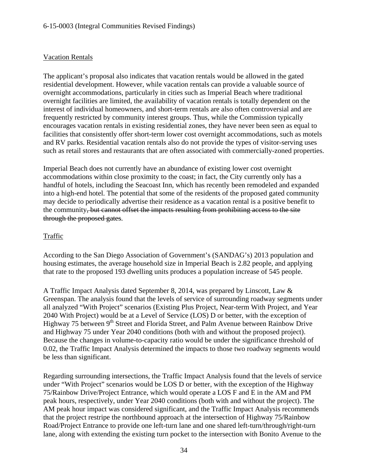# Vacation Rentals

The applicant's proposal also indicates that vacation rentals would be allowed in the gated residential development. However, while vacation rentals can provide a valuable source of overnight accommodations, particularly in cities such as Imperial Beach where traditional overnight facilities are limited, the availability of vacation rentals is totally dependent on the interest of individual homeowners, and short-term rentals are also often controversial and are frequently restricted by community interest groups. Thus, while the Commission typically encourages vacation rentals in existing residential zones, they have never been seen as equal to facilities that consistently offer short-term lower cost overnight accommodations, such as motels and RV parks. Residential vacation rentals also do not provide the types of visitor-serving uses such as retail stores and restaurants that are often associated with commercially-zoned properties.

Imperial Beach does not currently have an abundance of existing lower cost overnight accommodations within close proximity to the coast; in fact, the City currently only has a handful of hotels, including the Seacoast Inn, which has recently been remodeled and expanded into a high-end hotel. The potential that some of the residents of the proposed gated community may decide to periodically advertise their residence as a vacation rental is a positive benefit to the community, but cannot offset the impacts resulting from prohibiting access to the site through the proposed gates.

# **Traffic**

According to the San Diego Association of Government's (SANDAG's) 2013 population and housing estimates, the average household size in Imperial Beach is 2.82 people, and applying that rate to the proposed 193 dwelling units produces a population increase of 545 people.

A Traffic Impact Analysis dated September 8, 2014, was prepared by Linscott, Law & Greenspan. The analysis found that the levels of service of surrounding roadway segments under all analyzed "With Project" scenarios (Existing Plus Project, Near-term With Project, and Year 2040 With Project) would be at a Level of Service (LOS) D or better, with the exception of Highway 75 between 9<sup>th</sup> Street and Florida Street, and Palm Avenue between Rainbow Drive and Highway 75 under Year 2040 conditions (both with and without the proposed project). Because the changes in volume-to-capacity ratio would be under the significance threshold of 0.02, the Traffic Impact Analysis determined the impacts to those two roadway segments would be less than significant.

Regarding surrounding intersections, the Traffic Impact Analysis found that the levels of service under "With Project" scenarios would be LOS D or better, with the exception of the Highway 75/Rainbow Drive/Project Entrance, which would operate a LOS F and E in the AM and PM peak hours, respectively, under Year 2040 conditions (both with and without the project). The AM peak hour impact was considered significant, and the Traffic Impact Analysis recommends that the project restripe the northbound approach at the intersection of Highway 75/Rainbow Road/Project Entrance to provide one left-turn lane and one shared left-turn/through/right-turn lane, along with extending the existing turn pocket to the intersection with Bonito Avenue to the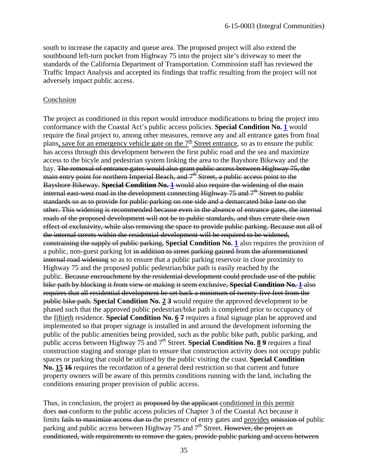south to increase the capacity and queue area. The proposed project will also extend the southbound left-turn pocket from Highway 75 into the project site's driveway to meet the standards of the California Department of Transportation. Commission staff has reviewed the Traffic Impact Analysis and accepted its findings that traffic resulting from the project will not adversely impact public access.

#### Conclusion

The project as conditioned in this report would introduce modifications to bring the project into conformance with the Coastal Act's public access policies. **Special Condition No. [1](#page-11-2)** would require the final project to, among other measures, remove any and all entrance gates from final plans, save for an emergency vehicle gate on the  $7<sup>th</sup>$  Street entrance, so as to ensure the public has access through this development between the first public road and the sea and maximize access to the bicyle and pedestrian system linking the area to the Bayshore Bikeway and the bay. The removal of entrance gates would also grant public access between Highway 75, the main entry point for northern Imperial Beach, and 7<sup>th</sup> Street, a public access point to the Bayshore Bikeway. **Special Condition No. [1](#page-11-2)** would also require the widening of the main internal east-west road in the development connecting Highway  $75$  and  $7<sup>th</sup>$  Street to public standards so as to provide for public parking on one side and a demarcated bike lane on the other. This widening is recommended because even in the absence of entrance gates, the internal roads of the proposed development will not be to public standards, and thus create their own effect of exclusivity, while also removing the space to provide public parking. Because not all of the internal streets within the residential development will be required to be widened, constraining the supply of public parking, **Special Condition No. [1](#page-11-2)** also requires the provision of a public, non-guest parking lot in addition to street parking gained from the aforementioned internal road widening so as to ensure that a public parking reservoir in close proximity to Highway 75 and the proposed public pedestrian/bike path is easily reached by the public. Because encroachment by the residential development could preclude use of the public bike path by blocking it from view or making it seem exclusive, **Special Condition No. [1](#page-11-2)** also requires that all residential development be set back a minimum of twenty-five feet from the public bike path. **Special Condition No. 2 3** would require the approved development to be phased such that the approved public pedestrian/bike path is completed prior to occupancy of the fiftieth residence. **Special Condition No. 6 7** requires a final signage plan be approved and implemented so that proper signage is installed in and around the development informing the public of the public amenities being provided, such as the public bike path, public parking, and public access between Highway 75 and 7<sup>th</sup> Street. **Special Condition No. 89** requires a final construction staging and storage plan to ensure that construction activity does not occupy public spaces or parking that could be utilized by the public visiting the coast. **Special Condition No. 15 16** requires the recordation of a general deed restriction so that current and future property owners will be aware of this permits conditions running with the land, including the conditions ensuring proper provision of public access.

Thus, in conclusion, the project as proposed by the applicant conditioned in this permit does not conform to the public access policies of Chapter 3 of the Coastal Act because it limits fails to maximize access due to the presence of entry gates and provides omission of public parking and public access between Highway 75 and  $7<sup>th</sup>$  Street. However, the project as conditioned, with requirements to remove the gates, provide public parking and access between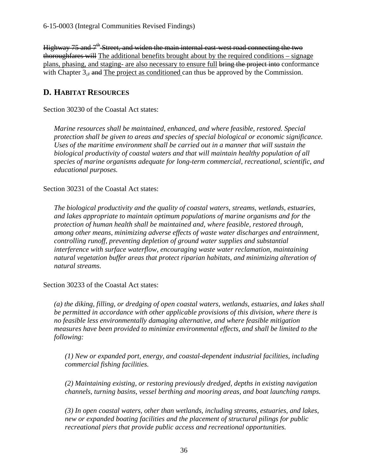Highway 75 and  $7<sup>th</sup>$  Street, and widen the main internal east-west road connecting the two thoroughfares will The additional benefits brought about by the required conditions – signage plans, phasing, and staging- are also necessary to ensure full bring the project into conformance with Chapter  $3.5$ , and The project as conditioned can thus be approved by the Commission.

# <span id="page-38-0"></span>**D. HABITAT RESOURCES**

Section 30230 of the Coastal Act states:

*Marine resources shall be maintained, enhanced, and where feasible, restored. Special protection shall be given to areas and species of special biological or economic significance. Uses of the maritime environment shall be carried out in a manner that will sustain the biological productivity of coastal waters and that will maintain healthy population of all species of marine organisms adequate for long-term commercial, recreational, scientific, and educational purposes.*

Section 30231 of the Coastal Act states:

*The biological productivity and the quality of coastal waters, streams, wetlands, estuaries, and lakes appropriate to maintain optimum populations of marine organisms and for the protection of human health shall be maintained and, where feasible, restored through, among other means, minimizing adverse effects of waste water discharges and entrainment, controlling runoff, preventing depletion of ground water supplies and substantial interference with surface waterflow, encouraging waste water reclamation, maintaining natural vegetation buffer areas that protect riparian habitats, and minimizing alteration of natural streams.* 

Section 30233 of the Coastal Act states:

*(a) the diking, filling, or dredging of open coastal waters, wetlands, estuaries, and lakes shall be permitted in accordance with other applicable provisions of this division, where there is no feasible less environmentally damaging alternative, and where feasible mitigation measures have been provided to minimize environmental effects, and shall be limited to the following:*

*(1) New or expanded port, energy, and coastal-dependent industrial facilities, including commercial fishing facilities.*

*(2) Maintaining existing, or restoring previously dredged, depths in existing navigation channels, turning basins, vessel berthing and mooring areas, and boat launching ramps.* 

*(3) In open coastal waters, other than wetlands, including streams, estuaries, and lakes, new or expanded boating facilities and the placement of structural pilings for public recreational piers that provide public access and recreational opportunities.*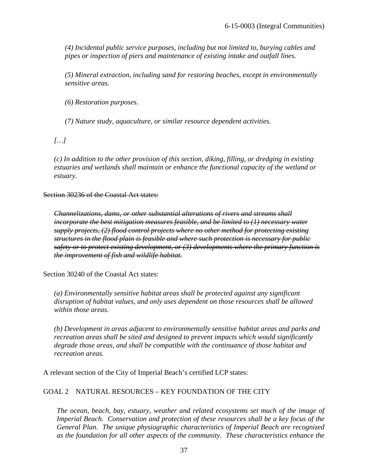*(4) Incidental public service purposes, including but not limited to, burying cables and pipes or inspection of piers and maintenance of existing intake and outfall lines.* 

*(5) Mineral extraction, including sand for restoring beaches, except in environmentally sensitive areas.*

 *(6) Restoration purposes.* 

 *(7) Nature study, aquaculture, or similar resource dependent activities.* 

*[…]*

*(c) In addition to the other provision of this section, diking, filling, or dredging in existing estuaries and wetlands shall maintain or enhance the functional capacity of the wetland or estuary.*

Section 30236 of the Coastal Act states:

*Channelizations, dams, or other substantial alterations of rivers and streams shall incorporate the best mitigation measures feasible, and be limited to (1) necessary water supply projects, (2) flood control projects where no other method for protecting existing structures in the flood plain is feasible and where such protection is necessary for public safety or to protect existing development, or (3) developments where the primary function is the improvement of fish and wildlife habitat.* 

Section 30240 of the Coastal Act states:

*(a) Environmentally sensitive habitat areas shall be protected against any significant disruption of habitat values, and only uses dependent on those resources shall be allowed within those areas.*

*(b) Development in areas adjacent to environmentally sensitive habitat areas and parks and recreation areas shall be sited and designed to prevent impacts which would significantly degrade those areas, and shall be compatible with the continuance of those habitat and recreation areas.*

A relevant section of the City of Imperial Beach's certified LCP states:

# GOAL 2 NATURAL RESOURCES – KEY FOUNDATION OF THE CITY

*The ocean, beach, bay, estuary, weather and related ecosystems set much of the image of Imperial Beach. Conservation and protection of these resources shall be a key focus of the General Plan. The unique physiographic characteristics of Imperial Beach are recognized as the foundation for all other aspects of the community. These characteristics enhance the*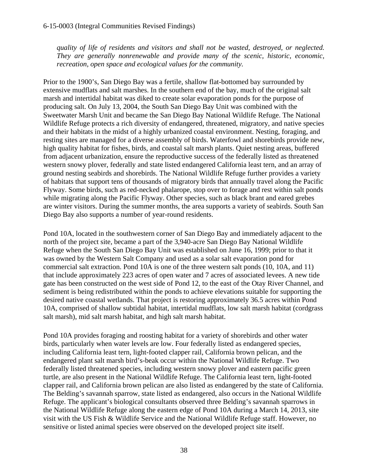*quality of life of residents and visitors and shall not be wasted, destroyed, or neglected. They are generally nonrenewable and provide many of the scenic, historic, economic, recreation, open space and ecological values for the community.*

Prior to the 1900's, San Diego Bay was a fertile, shallow flat-bottomed bay surrounded by extensive mudflats and salt marshes. In the southern end of the bay, much of the original salt marsh and intertidal habitat was diked to create solar evaporation ponds for the purpose of producing salt. On July 13, 2004, the South San Diego Bay Unit was combined with the Sweetwater Marsh Unit and became the San Diego Bay National Wildlife Refuge. The National Wildlife Refuge protects a rich diversity of endangered, threatened, migratory, and native species and their habitats in the midst of a highly urbanized coastal environment. Nesting, foraging, and resting sites are managed for a diverse assembly of birds. Waterfowl and shorebirds provide new, high quality habitat for fishes, birds, and coastal salt marsh plants. Quiet nesting areas, buffered from adjacent urbanization, ensure the reproductive success of the federally listed as threatened western snowy plover, federally and state listed endangered California least tern, and an array of ground nesting seabirds and shorebirds. The National Wildlife Refuge further provides a variety of habitats that support tens of thousands of migratory birds that annually travel along the Pacific Flyway. Some birds, such as red-necked phalarope, stop over to forage and rest within salt ponds while migrating along the Pacific Flyway. Other species, such as black brant and eared grebes are winter visitors. During the summer months, the area supports a variety of seabirds. South San Diego Bay also supports a number of year-round residents.

Pond 10A, located in the southwestern corner of San Diego Bay and immediately adjacent to the north of the project site, became a part of the 3,940-acre San Diego Bay National Wildlife Refuge when the South San Diego Bay Unit was established on June 16, 1999; prior to that it was owned by the Western Salt Company and used as a solar salt evaporation pond for commercial salt extraction. Pond 10A is one of the three western salt ponds (10, 10A, and 11) that include approximately 223 acres of open water and 7 acres of associated levees. A new tide gate has been constructed on the west side of Pond 12, to the east of the Otay River Channel, and sediment is being redistributed within the ponds to achieve elevations suitable for supporting the desired native coastal wetlands. That project is restoring approximately 36.5 acres within Pond 10A, comprised of shallow subtidal habitat, intertidal mudflats, low salt marsh habitat (cordgrass salt marsh), mid salt marsh habitat, and high salt marsh habitat.

Pond 10A provides foraging and roosting habitat for a variety of shorebirds and other water birds, particularly when water levels are low. Four federally listed as endangered species, including California least tern, light-footed clapper rail, California brown pelican, and the endangered plant salt marsh bird's-beak occur within the National Wildlife Refuge. Two federally listed threatened species, including western snowy plover and eastern pacific green turtle, are also present in the National Wildlife Refuge. The California least tern, light-footed clapper rail, and California brown pelican are also listed as endangered by the state of California. The Belding's savannah sparrow, state listed as endangered, also occurs in the National Wildlife Refuge. The applicant's biological consultants observed three Belding's savannah sparrows in the National Wildlife Refuge along the eastern edge of Pond 10A during a March 14, 2013, site visit with the US Fish & Wildlife Service and the National Wildlife Refuge staff. However, no sensitive or listed animal species were observed on the developed project site itself.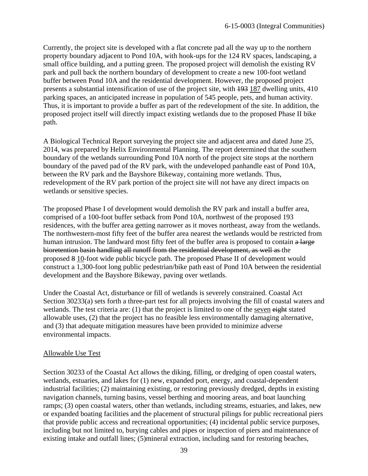Currently, the project site is developed with a flat concrete pad all the way up to the northern property boundary adjacent to Pond 10A, with hook-ups for the 124 RV spaces, landscaping, a small office building, and a putting green. The proposed project will demolish the existing RV park and pull back the northern boundary of development to create a new 100-foot wetland buffer between Pond 10A and the residential development. However, the proposed project presents a substantial intensification of use of the project site, with 193 187 dwelling units, 410 parking spaces, an anticipated increase in population of 545 people, pets, and human activity. Thus, it is important to provide a buffer as part of the redevelopment of the site. In addition, the proposed project itself will directly impact existing wetlands due to the proposed Phase II bike path.

A Biological Technical Report surveying the project site and adjacent area and dated June 25, 2014, was prepared by Helix Environmental Planning. The report determined that the southern boundary of the wetlands surrounding Pond 10A north of the project site stops at the northern boundary of the paved pad of the RV park, with the undeveloped panhandle east of Pond 10A, between the RV park and the Bayshore Bikeway, containing more wetlands. Thus, redevelopment of the RV park portion of the project site will not have any direct impacts on wetlands or sensitive species.

The proposed Phase I of development would demolish the RV park and install a buffer area, comprised of a 100-foot buffer setback from Pond 10A, northwest of the proposed 193 residences, with the buffer area getting narrower as it moves northeast, away from the wetlands. The northwestern-most fifty feet of the buffer area nearest the wetlands would be restricted from human intrusion. The landward most fifty feet of the buffer area is proposed to contain a large bioretention basin handling all runoff from the residential development, as well as the proposed 8 10-foot wide public bicycle path. The proposed Phase II of development would construct a 1,300-foot long public pedestrian/bike path east of Pond 10A between the residential development and the Bayshore Bikeway, paving over wetlands.

Under the Coastal Act, disturbance or fill of wetlands is severely constrained. Coastal Act Section 30233(a) sets forth a three-part test for all projects involving the fill of coastal waters and wetlands. The test criteria are: (1) that the project is limited to one of the seven eight stated allowable uses, (2) that the project has no feasible less environmentally damaging alternative, and (3) that adequate mitigation measures have been provided to minimize adverse environmental impacts.

#### Allowable Use Test

Section 30233 of the Coastal Act allows the diking, filling, or dredging of open coastal waters, wetlands, estuaries, and lakes for (1) new, expanded port, energy, and coastal-dependent industrial facilities; (2) maintaining existing, or restoring previously dredged, depths in existing navigation channels, turning basins, vessel berthing and mooring areas, and boat launching ramps; (3) open coastal waters, other than wetlands, including streams, estuaries, and lakes, new or expanded boating facilities and the placement of structural pilings for public recreational piers that provide public access and recreational opportunities; (4) incidental public service purposes, including but not limited to, burying cables and pipes or inspection of piers and maintenance of existing intake and outfall lines; (5)mineral extraction, including sand for restoring beaches,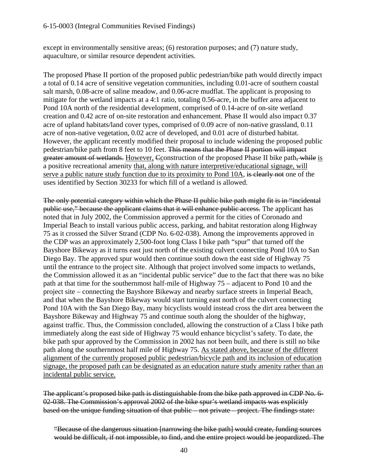### 6-15-0003 (Integral Communities Revised Findings)

except in environmentally sensitive areas; (6) restoration purposes; and (7) nature study, aquaculture, or similar resource dependent activities.

The proposed Phase II portion of the proposed public pedestrian/bike path would directly impact a total of 0.14 acre of sensitive vegetation communities, including 0.01-acre of southern coastal salt marsh, 0.08-acre of saline meadow, and 0.06-acre mudflat. The applicant is proposing to mitigate for the wetland impacts at a 4:1 ratio, totaling 0.56-acre, in the buffer area adjacent to Pond 10A north of the residential development, comprised of 0.14-acre of on-site wetland creation and 0.42 acre of on-site restoration and enhancement. Phase II would also impact 0.37 acre of upland habitats/land cover types, comprised of 0.09 acre of non-native grassland, 0.11 acre of non-native vegetation, 0.02 acre of developed, and 0.01 acre of disturbed habitat. However, the applicant recently modified their proposal to include widening the proposed public pedestrian/bike path from 8 feet to 10 feet. This means that the Phase II portion will impact greater amount of wetlands. However, Cconstruction of the proposed Phase II bike path, while is a positive recreational amenity that, along with nature interpretive/educational signage, will serve a public nature study function due to its proximity to Pond 10A, is clearly not one of the uses identified by Section 30233 for which fill of a wetland is allowed.

The only potential category within which the Phase II public bike path might fit is in "incidental public use," because the applicant claims that it will enhance public access. The applicant has noted that in July 2002, the Commission approved a permit for the cities of Coronado and Imperial Beach to install various public access, parking, and habitat restoration along Highway 75 as it crossed the Silver Strand (CDP No. 6-02-038). Among the improvements approved in the CDP was an approximately 2,500-foot long Class I bike path "spur" that turned off the Bayshore Bikeway as it turns east just north of the existing culvert connecting Pond 10A to San Diego Bay. The approved spur would then continue south down the east side of Highway 75 until the entrance to the project site. Although that project involved some impacts to wetlands, the Commission allowed it as an "incidental public service" due to the fact that there was no bike path at that time for the southernmost half-mile of Highway 75 – adjacent to Pond 10 and the project site – connecting the Bayshore Bikeway and nearby surface streets in Imperial Beach, and that when the Bayshore Bikeway would start turning east north of the culvert connecting Pond 10A with the San Diego Bay, many bicyclists would instead cross the dirt area between the Bayshore Bikeway and Highway 75 and continue south along the shoulder of the highway, against traffic. Thus, the Commission concluded, allowing the construction of a Class I bike path immediately along the east side of Highway 75 would enhance bicyclist's safety. To date, the bike path spur approved by the Commission in 2002 has not been built, and there is still no bike path along the southernmost half mile of Highway 75. As stated above, because of the different alignment of the currently proposed public pedestrian/bicycle path and its inclusion of education signage, the proposed path can be designated as an education nature study amenity rather than an incidental public service.

The applicant's proposed bike path is distinguishable from the bike path approved in CDP No. 6- 02-038. The Commission's approval 2002 of the bike spur's wetland impacts was explicitly based on the unique funding situation of that public – not private – project. The findings state:

"Because of the dangerous situation [narrowing the bike path] would create, funding sources would be difficult, if not impossible, to find, and the entire project would be jeopardized. The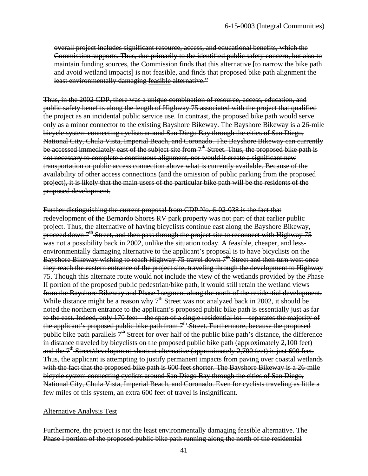overall project includes significant resource, access, and educational benefits, which the Commission supports. Thus, due primarily to the identified public safety concern, but also to maintain funding sources, the Commission finds that this alternative [to narrow the bike path and avoid wetland impacts] is not feasible, and finds that proposed bike path alignment the least environmentally damaging feasible alternative."

Thus, in the 2002 CDP, there was a unique combination of resource, access, education, and public safety benefits along the length of Highway 75 associated with the project that qualified the project as an incidental public service use. In contrast, the proposed bike path would serve only as a minor connector to the existing Bayshore Bikeway. The Bayshore Bikeway is a 26-mile bicycle system connecting cyclists around San Diego Bay through the cities of San Diego, National City, Chula Vista, Imperial Beach, and Coronado. The Bayshore Bikeway can currently be accessed immediately east of the subject site from  $7<sup>th</sup>$  Street. Thus, the proposed bike path is not necessary to complete a continuous alignment, nor would it create a significant new transportation or public access connection above what is currently available. Because of the availability of other access connections (and the omission of public parking from the proposed project), it is likely that the main users of the particular bike path will be the residents of the proposed development.

Further distinguishing the current proposal from CDP No. 6-02-038 is the fact that redevelopment of the Bernardo Shores RV park property was not part of that earlier public project. Thus, the alternative of having bicyclists continue east along the Bayshore Bikeway, proceed down  $7<sup>th</sup>$  Street, and then pass through the project site to reconnect with Highway 75 was not a possibility back in 2002, unlike the situation today. A feasible, cheaper, and lessenvironmentally damaging alternative to the applicant's proposal is to have bicyclists on the Bayshore Bikeway wishing to reach Highway  $75$  travel down  $7<sup>th</sup>$  Street and then turn west once they reach the eastern entrance of the project site, traveling through the development to Highway 75. Though this alternate route would not include the view of the wetlands provided by the Phase II portion of the proposed public pedestrian/bike path, it would still retain the wetland views from the Bayshore Bikeway and Phase I segment along the north of the residential development. While distance might be a reason why  $7^{\text{th}}$  Street was not analyzed back in 2002, it should be noted the northern entrance to the applicant's proposed public bike path is essentially just as far to the east. Indeed, only 170 feet – the span of a single residential lot – separates the majority of the applicant's proposed public bike path from 7<sup>th</sup> Street. Furthermore, because the proposed public bike path parallels  $7<sup>th</sup>$  Street for over half of the public bike path's distance, the difference in distance traveled by bicyclists on the proposed public bike path (approximately 2,100 feet) and the  $7<sup>th</sup>$  Street/development-shortcut alternative (approximately 2,700 feet) is just 600 feet. Thus, the applicant is attempting to justify permanent impacts from paving over coastal wetlands with the fact that the proposed bike path is 600 feet shorter. The Bayshore Bikeway is a 26-mile bicycle system connecting cyclists around San Diego Bay through the cities of San Diego, National City, Chula Vista, Imperial Beach, and Coronado. Even for cyclists traveling as little a few miles of this system, an extra 600 feet of travel is insignificant.

#### Alternative Analysis Test

Furthermore, the project is not the least environmentally damaging feasible alternative. The Phase I portion of the proposed public bike path running along the north of the residential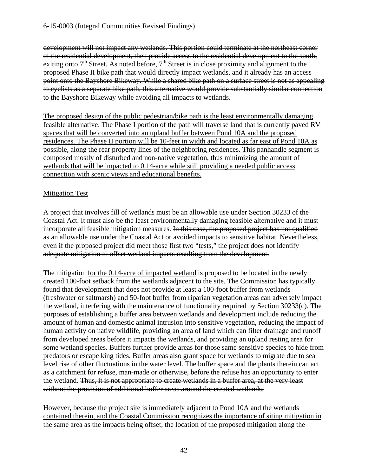development will not impact any wetlands. This portion could terminate at the northeast corner of the residential development, then provide access to the residential development to the south, exiting onto  $7<sup>th</sup>$  Street. As noted before,  $7<sup>th</sup>$  Street is in close proximity and alignment to the proposed Phase II bike path that would directly impact wetlands, and it already has an access point onto the Bayshore Bikeway. While a shared bike path on a surface street is not as appealing to cyclists as a separate bike path, this alternative would provide substantially similar connection to the Bayshore Bikeway while avoiding all impacts to wetlands.

The proposed design of the public pedestrian/bike path is the least environmentally damaging feasible alternative. The Phase I portion of the path will traverse land that is currently paved RV spaces that will be converted into an upland buffer between Pond 10A and the proposed residences. The Phase II portion will be 10-feet in width and located as far east of Pond 10A as possible, along the rear property lines of the neighboring residences. This panhandle segment is composed mostly of disturbed and non-native vegetation, thus minimizing the amount of wetlands that will be impacted to 0.14-acre while still providing a needed public access connection with scenic views and educational benefits.

# Mitigation Test

A project that involves fill of wetlands must be an allowable use under Section 30233 of the Coastal Act. It must also be the least environmentally damaging feasible alternative and it must incorporate all feasible mitigation measures. In this case, the proposed project has not qualified as an allowable use under the Coastal Act or avoided impacts to sensitive habitat. Nevertheless, even if the proposed project did meet those first two "tests," the project does not identify adequate mitigation to offset wetland impacts resulting from the development.

The mitigation for the 0.14-acre of impacted wetland is proposed to be located in the newly created 100-foot setback from the wetlands adjacent to the site. The Commission has typically found that development that does not provide at least a 100-foot buffer from wetlands (freshwater or saltmarsh) and 50-foot buffer from riparian vegetation areas can adversely impact the wetland, interfering with the maintenance of functionality required by Section 30233(c). The purposes of establishing a buffer area between wetlands and development include reducing the amount of human and domestic animal intrusion into sensitive vegetation, reducing the impact of human activity on native wildlife, providing an area of land which can filter drainage and runoff from developed areas before it impacts the wetlands, and providing an upland resting area for some wetland species. Buffers further provide areas for those same sensitive species to hide from predators or escape king tides. Buffer areas also grant space for wetlands to migrate due to sea level rise of other fluctuations in the water level. The buffer space and the plants therein can act as a catchment for refuse, man-made or otherwise, before the refuse has an opportunity to enter the wetland. Thus, it is not appropriate to create wetlands in a buffer area, at the very least without the provision of additional buffer areas around the created wetlands.

However, because the project site is immediately adjacent to Pond 10A and the wetlands contained therein, and the Coastal Commission recognizes the importance of siting mitigation in the same area as the impacts being offset, the location of the proposed mitigation along the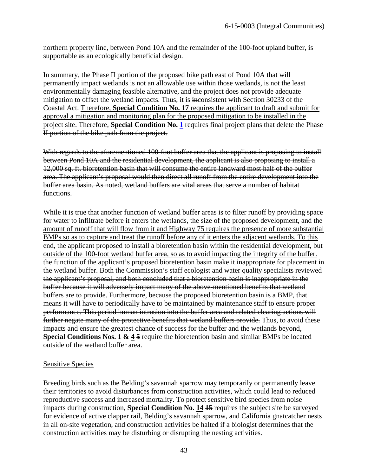northern property line, between Pond 10A and the remainder of the 100-foot upland buffer, is supportable as an ecologically beneficial design.

In summary, the Phase II portion of the proposed bike path east of Pond 10A that will permanently impact wetlands is not an allowable use within those wetlands, is not the least environmentally damaging feasible alternative, and the project does not provide adequate mitigation to offset the wetland impacts. Thus, it is inconsistent with Section 30233 of the Coastal Act. Therefore, **Special Condition No. 17** requires the applicant to draft and submit for approval a mitigation and monitoring plan for the proposed mitigation to be installed in the project site. Therefore, **Special Condition No. [1](#page-11-2)** requires final project plans that delete the Phase II portion of the bike path from the project.

With regards to the aforementioned 100-foot buffer area that the applicant is proposing to install between Pond 10A and the residential development, the applicant is also proposing to install a 12,000 sq. ft. bioretention basin that will consume the entire landward most half of the buffer area. The applicant's proposal would then direct all runoff from the entire development into the buffer area basin. As noted, wetland buffers are vital areas that serve a number of habitat functions.

While it is true that another function of wetland buffer areas is to filter runoff by providing space for water to infiltrate before it enters the wetlands, the size of the proposed development, and the amount of runoff that will flow from it and Highway 75 requires the presence of more substantial BMPs so as to capture and treat the runoff before any of it enters the adjacent wetlands. To this end, the applicant proposed to install a bioretention basin within the residential development, but outside of the 100-foot wetland buffer area, so as to avoid impacting the integrity of the buffer. the function of the applicant's proposed bioretention basin make it inappropriate for placement in the wetland buffer. Both the Commission's staff ecologist and water quality specialists reviewed the applicant's proposal, and both concluded that a bioretention basin is inappropriate in the buffer because it will adversely impact many of the above-mentioned benefits that wetland buffers are to provide. Furthermore, because the proposed bioretention basin is a BMP, that means it will have to periodically have to be maintained by maintenance staff to ensure proper performance. This period human intrusion into the buffer area and related clearing actions will further negate many of the protective benefits that wetland buffers provide. Thus, to avoid these impacts and ensure the greatest chance of success for the buffer and the wetlands beyond, **Special Conditions Nos. 1 & 4 5** require the bioretention basin and similar BMPs be located outside of the wetland buffer area.

#### Sensitive Species

Breeding birds such as the Belding's savannah sparrow may temporarily or permanently leave their territories to avoid disturbances from construction activities, which could lead to reduced reproductive success and increased mortality. To protect sensitive bird species from noise impacts during construction, **Special Condition No. 14 15** requires the subject site be surveyed for evidence of active clapper rail, Belding's savannah sparrow, and California gnatcatcher nests in all on-site vegetation, and construction activities be halted if a biologist determines that the construction activities may be disturbing or disrupting the nesting activities.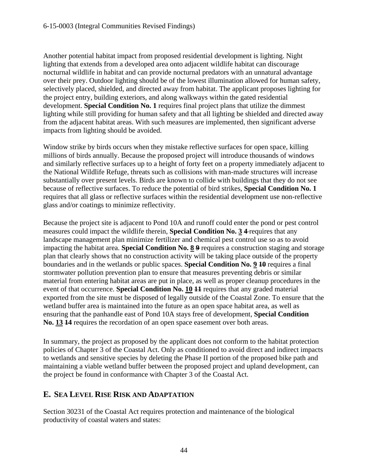Another potential habitat impact from proposed residential development is lighting. Night lighting that extends from a developed area onto adjacent wildlife habitat can discourage nocturnal wildlife in habitat and can provide nocturnal predators with an unnatural advantage over their prey. Outdoor lighting should be of the lowest illumination allowed for human safety, selectively placed, shielded, and directed away from habitat. The applicant proposes lighting for the project entry, building exteriors, and along walkways within the gated residential development. **Special Condition No. 1** requires final project plans that utilize the dimmest lighting while still providing for human safety and that all lighting be shielded and directed away from the adjacent habitat areas. With such measures are implemented, then significant adverse impacts from lighting should be avoided.

Window strike by birds occurs when they mistake reflective surfaces for open space, killing millions of birds annually. Because the proposed project will introduce thousands of windows and similarly reflective surfaces up to a height of forty feet on a property immediately adjacent to the National Wildlife Refuge, threats such as collisions with man-made structures will increase substantially over present levels. Birds are known to collide with buildings that they do not see because of reflective surfaces. To reduce the potential of bird strikes, **Special Condition No. 1**  requires that all glass or reflective surfaces within the residential development use non-reflective glass and/or coatings to minimize reflectivity.

Because the project site is adjacent to Pond 10A and runoff could enter the pond or pest control measures could impact the wildlife therein, **Special Condition No. 3 4** requires that any landscape management plan minimize fertilizer and chemical pest control use so as to avoid impacting the habitat area. **Special Condition No. 8 9** requires a construction staging and storage plan that clearly shows that no construction activity will be taking place outside of the property boundaries and in the wetlands or public spaces. **Special Condition No. 9 10** requires a final stormwater pollution prevention plan to ensure that measures preventing debris or similar material from entering habitat areas are put in place, as well as proper cleanup procedures in the event of that occurrence. **Special Condition No. 10 11** requires that any graded material exported from the site must be disposed of legally outside of the Coastal Zone. To ensure that the wetland buffer area is maintained into the future as an open space habitat area, as well as ensuring that the panhandle east of Pond 10A stays free of development, **Special Condition No. 13 14** requires the recordation of an open space easement over both areas.

In summary, the project as proposed by the applicant does not conform to the habitat protection policies of Chapter 3 of the Coastal Act. Only as conditioned to avoid direct and indirect impacts to wetlands and sensitive species by deleting the Phase II portion of the proposed bike path and maintaining a viable wetland buffer between the proposed project and upland development, can the project be found in conformance with Chapter 3 of the Coastal Act.

# <span id="page-46-0"></span>**E. SEA LEVEL RISE RISK AND ADAPTATION**

Section 30231 of the Coastal Act requires protection and maintenance of the biological productivity of coastal waters and states: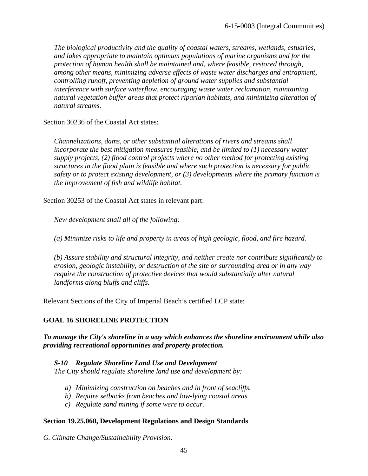*The biological productivity and the quality of coastal waters, streams, wetlands, estuaries, and lakes appropriate to maintain optimum populations of marine organisms and for the protection of human health shall be maintained and, where feasible, restored through, among other means, minimizing adverse effects of waste water discharges and entrapment, controlling runoff, preventing depletion of ground water supplies and substantial interference with surface waterflow, encouraging waste water reclamation, maintaining natural vegetation buffer areas that protect riparian habitats, and minimizing alteration of natural streams.* 

Section 30236 of the Coastal Act states:

*Channelizations, dams, or other substantial alterations of rivers and streams shall incorporate the best mitigation measures feasible, and be limited to (1) necessary water supply projects, (2) flood control projects where no other method for protecting existing structures in the flood plain is feasible and where such protection is necessary for public safety or to protect existing development, or (3) developments where the primary function is the improvement of fish and wildlife habitat.* 

Section 30253 of the Coastal Act states in relevant part:

*New development shall all of the following:*

*(a) Minimize risks to life and property in areas of high geologic, flood, and fire hazard.* 

*(b) Assure stability and structural integrity, and neither create nor contribute significantly to erosion, geologic instability, or destruction of the site or surrounding area or in any way require the construction of protective devices that would substantially alter natural landforms along bluffs and cliffs.* 

Relevant Sections of the City of Imperial Beach's certified LCP state:

# **GOAL 16 SHORELINE PROTECTION**

*To manage the City's shoreline in a way which enhances the shoreline environment while also providing recreational opportunities and property protection.* 

*S-10 Regulate Shoreline Land Use and Development The City should regulate shoreline land use and development by:* 

- *a) Minimizing construction on beaches and in front of seacliffs.*
- *b) Require setbacks from beaches and low-lying coastal areas.*
- *c) Regulate sand mining if some were to occur.*

#### **Section 19.25.060, Development Regulations and Design Standards**

*G. Climate Change/Sustainability Provision:*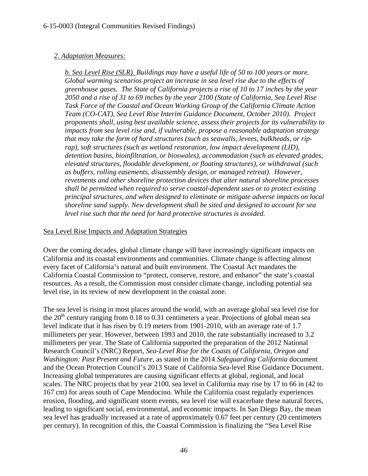# *2. Adaptation Measures:*

*b. Sea Level Rise (SLR). Buildings may have a useful life of 50 to 100 years or more. Global warming scenarios project an increase in sea level rise due to the effects of greenhouse gases. The State of California projects a rise of 10 to 17 inches by the year 2050 and a rise of 31 to 69 inches by the year 2100 (State of California, Sea Level Rise Task Force of the Coastal and Ocean Working Group of the California Climate Action Team (CO-CAT), Sea Level Rise Interim Guidance Document, October 2010). Project proponents shall, using best available science, assess their projects for its vulnerability to impacts from sea level rise and, if vulnerable, propose a reasonable adaptation strategy that may take the form of hard structures (such as seawalls, levees, bulkheads, or riprap), soft structures (such as wetland restoration, low impact development (LID), detention basins, bioinfiltration, or bioswales), accommodation (such as elevated grades, elevated structures, floodable development, or floating structures), or withdrawal (such as buffers, rolling easements, disassembly design, or managed retreat). However, revetments and other shoreline protection devices that alter natural shoreline processes shall be permitted when required to serve coastal-dependent uses or to protect existing principal structures, and when designed to eliminate or mitigate adverse impacts on local shoreline sand supply. New development shall be sited and designed to account for sea level rise such that the need for hard protective structures is avoided.* 

# Sea Level Rise Impacts and Adaptation Strategies

Over the coming decades, global climate change will have increasingly significant impacts on California and its coastal environments and communities. Climate change is affecting almost every facet of California's natural and built environment. The Coastal Act mandates the California Coastal Commission to "protect, conserve, restore, and enhance" the state's coastal resources. As a result, the Commission must consider climate change, including potential sea level rise, in its review of new development in the coastal zone.

The sea level is rising in most places around the world, with an average global sea level rise for the  $20<sup>th</sup>$  century ranging from 0.18 to 0.31 centimeters a year. Projections of global mean sea level indicate that it has risen by 0.19 meters from 1901-2010, with an average rate of 1.7 millimeters per year. However, between 1993 and 2010, the rate substantially increased to 3.2 millimeters per year. The State of California supported the preparation of the 2012 National Research Council's (NRC) Report, *Sea-Level Rise for the Coasts of California, Oregon and Washington: Past Present and Future*, as stated in the 2014 *Safeguarding California* document and the Ocean Protection Council's 2013 State of California Sea-level Rise Guidance Document. Increasing global temperatures are causing significant effects at global, regional, and local scales. The NRC projects that by year 2100, sea level in California may rise by 17 to 66 in (42 to 167 cm) for areas south of Cape Mendocino. While the California coast regularly experiences erosion, flooding, and significant storm events, sea level rise will exacerbate these natural forces, leading to significant social, environmental, and economic impacts. In San Diego Bay, the mean sea level has gradually increased at a rate of approximately 0.67 feet per century (20 centimeters per century). In recognition of this, the Coastal Commission is finalizing the "Sea Level Rise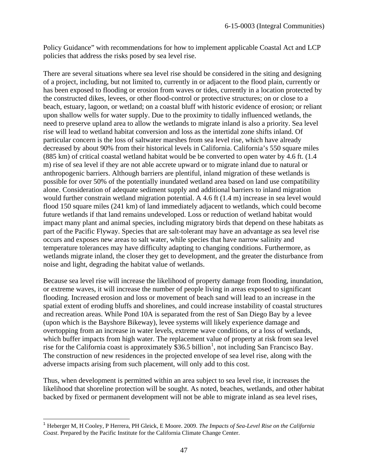Policy Guidance" with recommendations for how to implement applicable Coastal Act and LCP policies that address the risks posed by sea level rise.

There are several situations where sea level rise should be considered in the siting and designing of a project, including, but not limited to, currently in or adjacent to the flood plain, currently or has been exposed to flooding or erosion from waves or tides, currently in a location protected by the constructed dikes, levees, or other flood-control or protective structures; on or close to a beach, estuary, lagoon, or wetland; on a coastal bluff with historic evidence of erosion; or reliant upon shallow wells for water supply. Due to the proximity to tidally influenced wetlands, the need to preserve upland area to allow the wetlands to migrate inland is also a priority. Sea level rise will lead to wetland habitat conversion and loss as the intertidal zone shifts inland. Of particular concern is the loss of saltwater marshes from sea level rise, which have already decreased by about 90% from their historical levels in California. California's 550 square miles (885 km) of critical coastal wetland habitat would be be converted to open water by 4.6 ft. (1.4 m) rise of sea level if they are not able accrete upward or to migrate inland due to natural or anthropogenic barriers. Although barriers are plentiful, inland migration of these wetlands is possible for over 50% of the potentially inundated wetland area based on land use compatibility alone. Consideration of adequate sediment supply and additional barriers to inland migration would further constrain wetland migration potential. A 4.6 ft (1.4 m) increase in sea level would flood 150 square miles (241 km) of land immediately adjacent to wetlands, which could become future wetlands if that land remains undeveloped. Loss or reduction of wetland habitat would impact many plant and animal species, including migratory birds that depend on these habitats as part of the Pacific Flyway. Species that are salt-tolerant may have an advantage as sea level rise occurs and exposes new areas to salt water, while species that have narrow salinity and temperature tolerances may have difficulty adapting to changing conditions. Furthermore, as wetlands migrate inland, the closer they get to development, and the greater the disturbance from noise and light, degrading the habitat value of wetlands.

Because sea level rise will increase the likelihood of property damage from flooding, inundation, or extreme waves, it will increase the number of people living in areas exposed to significant flooding. Increased erosion and loss or movement of beach sand will lead to an increase in the spatial extent of eroding bluffs and shorelines, and could increase instability of coastal structures and recreation areas. While Pond 10A is separated from the rest of San Diego Bay by a levee (upon which is the Bayshore Bikeway), levee systems will likely experience damage and overtopping from an increase in water levels, extreme wave conditions, or a loss of wetlands, which buffer impacts from high water. The replacement value of property at risk from sea level rise for the California coast is approximately \$36.5 billion<sup>[1](#page-49-0)</sup>, not including San Francisco Bay. The construction of new residences in the projected envelope of sea level rise, along with the adverse impacts arising from such placement, will only add to this cost.

Thus, when development is permitted within an area subject to sea level rise, it increases the likelihood that shoreline protection will be sought. As noted, beaches, wetlands, and other habitat backed by fixed or permanent development will not be able to migrate inland as sea level rises,

 $\overline{\phantom{a}}$ 

<span id="page-49-0"></span><sup>1</sup> Heberger M, H Cooley, P Herrera, PH Gleick, E Moore. 2009. *The Impacts of Sea-Level Rise on the California Coast*. Prepared by the Pacific Institute for the California Climate Change Center.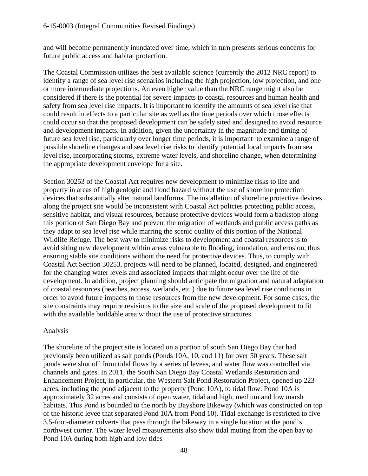and will become permanently inundated over time, which in turn presents serious concerns for future public access and habitat protection.

The Coastal Commission utilizes the best available science (currently the 2012 NRC report) to identify a range of sea level rise scenarios including the high projection, low projection, and one or more intermediate projections. An even higher value than the NRC range might also be considered if there is the potential for severe impacts to coastal resources and human health and safety from sea level rise impacts. It is important to identify the amounts of sea level rise that could result in effects to a particular site as well as the time periods over which those effects could occur so that the proposed development can be safely sited and designed to avoid resource and development impacts. In addition, given the uncertainty in the magnitude and timing of future sea level rise, particularly over longer time periods, it is important to examine a range of possible shoreline changes and sea level rise risks to identify potential local impacts from sea level rise, incorporating storms, extreme water levels, and shoreline change, when determining the appropriate development envelope for a site.

Section 30253 of the Coastal Act requires new development to minimize risks to life and property in areas of high geologic and flood hazard without the use of shoreline protection devices that substantially alter natural landforms. The installation of shoreline protective devices along the project site would be inconsistent with Coastal Act policies protecting public access, sensitive habitat, and visual resources, because protective devices would form a backstop along this portion of San Diego Bay and prevent the migration of wetlands and public access paths as they adapt to sea level rise while marring the scenic quality of this portion of the National Wildlife Refuge. The best way to minimize risks to development and coastal resources is to avoid siting new development within areas vulnerable to flooding, inundation, and erosion, thus ensuring stable site conditions without the need for protective devices. Thus, to comply with Coastal Act Section 30253, projects will need to be planned, located, designed, and engineered for the changing water levels and associated impacts that might occur over the life of the development. In addition, project planning should anticipate the migration and natural adaptation of coastal resources (beaches, access, wetlands, etc*.*) due to future sea level rise conditions in order to avoid future impacts to those resources from the new development. For some cases, the site constraints may require revisions to the size and scale of the proposed development to fit with the available buildable area without the use of protective structures.

# Analysis

The shoreline of the project site is located on a portion of south San Diego Bay that had previously been utilized as salt ponds (Ponds 10A, 10, and 11) for over 50 years. These salt ponds were shut off from tidal flows by a series of levees, and water flow was controlled via channels and gates. In 2011, the South San Diego Bay Coastal Wetlands Restoration and Enhancement Project, in particular, the Western Salt Pond Restoration Project, opened up 223 acres, including the pond adjacent to the property (Pond 10A), to tidal flow. Pond 10A is approximately 32 acres and consists of open water, tidal and high, medium and low marsh habitats. This Pond is bounded to the north by Bayshore Bikeway (which was constructed on top of the historic levee that separated Pond 10A from Pond 10). Tidal exchange is restricted to five 3.5-foot-diameter culverts that pass through the bikeway in a single location at the pond's northwest corner. The water level measurements also show tidal muting from the open bay to Pond 10A during both high and low tides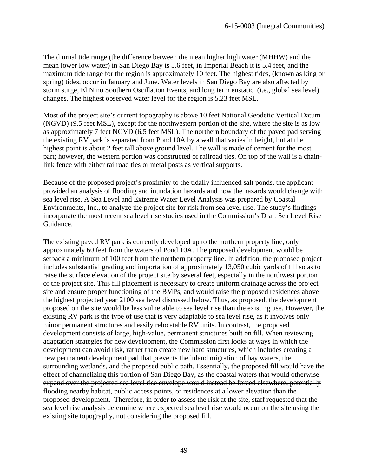The diurnal tide range (the difference between the mean higher high water (MHHW) and the mean lower low water) in San Diego Bay is 5.6 feet, in Imperial Beach it is 5.4 feet, and the maximum tide range for the region is approximately 10 feet. The highest tides, (known as king or spring) tides, occur in January and June. Water levels in San Diego Bay are also affected by storm surge, El Nino Southern Oscillation Events, and long term eustatic (i.e., global sea level) changes. The highest observed water level for the region is 5.23 feet MSL.

Most of the project site's current topography is above 10 feet National Geodetic Vertical Datum (NGVD) (9.5 feet MSL), except for the northwestern portion of the site, where the site is as low as approximately 7 feet NGVD (6.5 feet MSL). The northern boundary of the paved pad serving the existing RV park is separated from Pond 10A by a wall that varies in height, but at the highest point is about 2 feet tall above ground level. The wall is made of cement for the most part; however, the western portion was constructed of railroad ties. On top of the wall is a chainlink fence with either railroad ties or metal posts as vertical supports.

Because of the proposed project's proximity to the tidally influenced salt ponds, the applicant provided an analysis of flooding and inundation hazards and how the hazards would change with sea level rise. A Sea Level and Extreme Water Level Analysis was prepared by Coastal Environments, Inc., to analyze the project site for risk from sea level rise. The study's findings incorporate the most recent sea level rise studies used in the Commission's Draft Sea Level Rise Guidance.

The existing paved RV park is currently developed up to the northern property line, only approximately 60 feet from the waters of Pond 10A. The proposed development would be setback a minimum of 100 feet from the northern property line. In addition, the proposed project includes substantial grading and importation of approximately 13,050 cubic yards of fill so as to raise the surface elevation of the project site by several feet, especially in the northwest portion of the project site. This fill placement is necessary to create uniform drainage across the project site and ensure proper functioning of the BMPs, and would raise the proposed residences above the highest projected year 2100 sea level discussed below. Thus, as proposed, the development proposed on the site would be less vulnerable to sea level rise than the existing use. However, the existing RV park is the type of use that is very adaptable to sea level rise, as it involves only minor permanent structures and easily relocatable RV units. In contrast, the proposed development consists of large, high-value, permanent structures built on fill. When reviewing adaptation strategies for new development, the Commission first looks at ways in which the development can avoid risk, rather than create new hard structures, which includes creating a new permanent development pad that prevents the inland migration of bay waters, the surrounding wetlands, and the proposed public path. Essentially, the proposed fill would have the effect of channelizing this portion of San Diego Bay, as the coastal waters that would otherwise expand over the projected sea level rise envelope would instead be forced elsewhere, potentially flooding nearby habitat, public access points, or residences at a lower elevation than the proposed development. Therefore, in order to assess the risk at the site, staff requested that the sea level rise analysis determine where expected sea level rise would occur on the site using the existing site topography, not considering the proposed fill.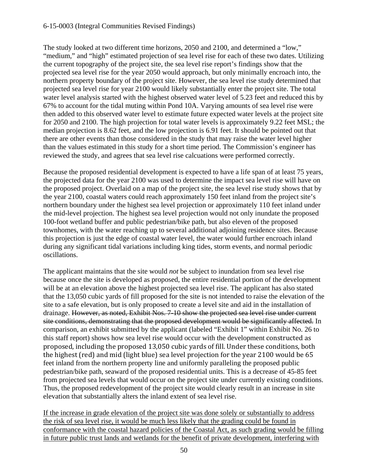## 6-15-0003 (Integral Communities Revised Findings)

The study looked at two different time horizons, 2050 and 2100, and determined a "low," "medium," and "high" estimated projection of sea level rise for each of these two dates. Utilizing the current topography of the project site, the sea level rise report's findings show that the projected sea level rise for the year 2050 would approach, but only minimally encroach into, the northern property boundary of the project site. However, the sea level rise study determined that projected sea level rise for year 2100 would likely substantially enter the project site. The total water level analysis started with the highest observed water level of 5.23 feet and reduced this by 67% to account for the tidal muting within Pond 10A. Varying amounts of sea level rise were then added to this observed water level to estimate future expected water levels at the project site for 2050 and 2100. The high projection for total water levels is approximately 9.22 feet MSL; the median projection is 8.62 feet, and the low projection is 6.91 feet. It should be pointed out that there are other events than those considered in the study that may raise the water level higher than the values estimated in this study for a short time period. The Commission's engineer has reviewed the study, and agrees that sea level rise calcuations were performed correctly.

Because the proposed residential development is expected to have a life span of at least 75 years, the projected data for the year 2100 was used to determine the impact sea level rise will have on the proposed project. Overlaid on a map of the project site, the sea level rise study shows that by the year 2100, coastal waters could reach approximately 150 feet inland from the project site's northern boundary under the highest sea level projection or approximately 110 feet inland under the mid-level projection. The highest sea level projection would not only inundate the proposed 100-foot wetland buffer and public pedestrian/bike path, but also eleven of the proposed townhomes, with the water reaching up to several additional adjoining residence sites. Because this projection is just the edge of coastal water level, the water would further encroach inland during any significant tidal variations including king tides, storm events, and normal periodic oscillations.

The applicant maintains that the site would *not* be subject to inundation from sea level rise because once the site is developed as proposed, the entire residential portion of the development will be at an elevation above the highest projected sea level rise. The applicant has also stated that the 13,050 cubic yards of fill proposed for the site is not intended to raise the elevation of the site to a safe elevation, but is only proposed to create a level site and aid in the installation of drainage. However, as noted, Exhibit Nos. 7-10 show the projected sea level rise under current site conditions, demonstrating that the proposed development would be significantly affected. In comparison, an exhibit submitted by the applicant (labeled "Exhibit 1" within Exhibit No. 26 to this staff report) shows how sea level rise would occur with the development constructed as proposed, including the proposed 13,050 cubic yards of fill. Under these conditions, both the highest (red) and mid (light blue) sea level projection for the year 2100 would be 65 feet inland from the northern property line and uniformly paralleling the proposed public pedestrian/bike path, seaward of the proposed residential units. This is a decrease of 45-85 feet from projected sea levels that would occur on the project site under currently existing conditions. Thus, the proposed redevelopment of the project site would clearly result in an increase in site elevation that substantially alters the inland extent of sea level rise.

If the increase in grade elevation of the project site was done solely or substantially to address the risk of sea level rise, it would be much less likely that the grading could be found in conformance with the coastal hazard policies of the Coastal Act, as such grading would be filling in future public trust lands and wetlands for the benefit of private development, interfering with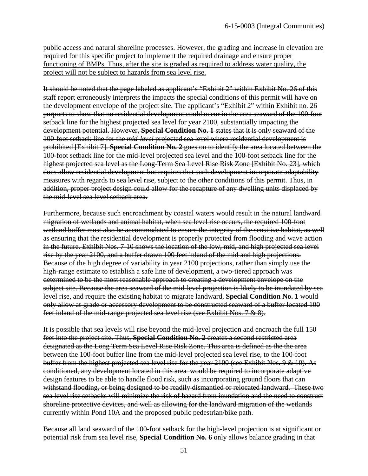public access and natural shoreline processes. However, the grading and increase in elevation are required for this specific project to implement the required drainage and ensure proper functioning of BMPs. Thus, after the site is graded as required to address water quality, the project will not be subject to hazards from sea level rise.

It should be noted that the page labeled as applicant's "Exhibit 2" within Exhibit No. 26 of this staff report erroneously interprets the impacts the special conditions of this permit will have on the development envelope of the project site. The applicant's "Exhibit 2" within Exhibit no. 26 purports to show that no residential development could occur in the area seaward of the 100-foot setback line for the highest projected sea level for year 2100, substantially impacting the development potential. However, **Special Condition No. 1** states that it is only seaward of the 100-foot setback line for the *mid-level* projected sea level where residential development is prohibited [Exhibit 7]. **Special Condition No. 2** goes on to identify the area located between the 100-foot setback line for the mid-level projected sea level and the 100-foot setback line for the highest projected sea level as the Long-Term Sea Level Rise Risk Zone [Exhibit No. 23], which does allow residential development but requires that such development incorporate adaptability measures with regards to sea level rise, subject to the other conditions of this permit. Thus, in addition, proper project design could allow for the recapture of any dwelling units displaced by the mid-level sea level setback area.

Furthermore, because such encroachment by coastal waters would result in the natural landward migration of wetlands and animal habitat, when sea level rise occurs, the required 100-foot wetland buffer must also be accommodated to ensure the integrity of the sensitive habitat, as well as ensuring that the residential development is properly protected from flooding and wave action in the future. Exhibit Nos. 7-10 shows the location of the low, mid, and high projected sea level rise by the year 2100, and a buffer drawn 100 feet inland of the mid and high projections. Because of the high degree of variability in year 2100 projections, rather than simply use the high-range estimate to establish a safe line of development, a two-tiered approach was determined to be the most reasonable approach to creating a development envelope on the subject site. Because the area seaward of the mid-level projection is likely to be inundated by sea level rise, and require the existing habitat to migrate landward, **Special Condition No. 1** would only allow at-grade or accessory development to be constructed seaward of a buffer located 100 feet inland of the mid-range projected sea level rise (see Exhibit Nos. 7 & 8).

It is possible that sea levels will rise beyond the mid-level projection and encroach the full 150 feet into the project site. Thus, **Special Condition No. 2** creates a second restricted area designated as the Long Term Sea Level Rise Risk Zone. This area is defined as the the area between the 100-foot buffer line from the mid-level projected sea level rise, to the 100-foot buffer from the highest projected sea level rise for the year 2100 (see Exhibit Nos. 9 & 10). As conditioned, any development located in this area would be required to incorporate adaptive design features to be able to handle flood risk, such as incorporating ground floors that can withstand flooding, or being designed to be readily dismantled or relocated landward. These two sea level rise setbacks will minimize the risk of hazard from inundation and the need to construct shoreline protective devices, and well as allowing for the landward migration of the wetlands currently within Pond 10A and the proposed public pedestrian/bike path.

Because all land seaward of the 100-foot setback for the high-level projection is at significant or potential risk from sea level rise, **Special Condition No. 6** only allows balance grading in that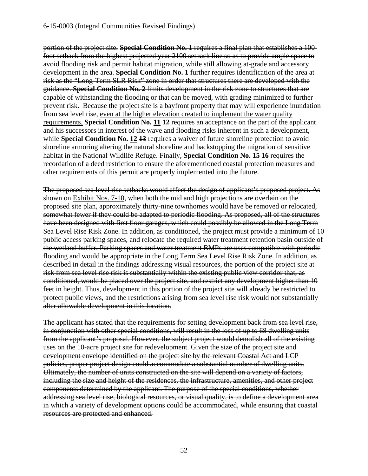portion of the project site. **Special Condition No. 1** requires a final plan that establishes a 100 foot setback from the highest projected year 2100 setback line so as to provide ample space to avoid flooding risk and permit habitat migration, while still allowing at-grade and accessory development in the area. **Special Condition No. 1** further requires identification of the area at risk as the "Long-Term SLR Risk" zone in order that structures there are developed with the guidance. **Special Condition No. 2** limits development in the risk zone to structures that are capable of withstanding the flooding or that can be moved, with grading minimized to further prevent risk. Because the project site is a bayfront property that may will experience inundation from sea level rise, even at the higher elevation created to implement the water quality requirements, **Special Condition No. 11 12** requires an acceptance on the part of the applicant and his successors in interest of the wave and flooding risks inherent in such a development, while **Special Condition No. 12 13** requires a waiver of future shoreline protection to avoid shoreline armoring altering the natural shoreline and backstopping the migration of sensitive habitat in the National Wildlife Refuge. Finally, **Special Condition No. 15 16** requires the recordation of a deed restriction to ensure the aforementioned coastal protection measures and other requirements of this permit are properly implemented into the future.

The proposed sea level rise setbacks would affect the design of applicant's proposed project. As shown on **Exhibit Nos. 7-10**, when both the mid and high projections are overlain on the proposed site plan, approximately thirty-nine townhomes would have be removed or relocated, somewhat fewer if they could be adapted to periodic flooding. As proposed, all of the structures have been designed with first floor garages, which could possibly be allowed in the Long Term Sea Level Rise Risk Zone. In addition, as conditioned, the project must provide a minimum of 10 public access parking spaces, and relocate the required water treatment retention basin outside of the wetland buffer. Parking spaces and water treatment BMPs are uses compatible with periodic flooding and would be appropriate in the Long Term Sea Level Rise Risk Zone. In addition, as described in detail in the findings addressing visual resources, the portion of the project site at risk from sea level rise risk is substantially within the existing public view corridor that, as conditioned, would be placed over the project site, and restrict any development higher than 10 feet in height. Thus, development in this portion of the project site will already be restricted to protect public views, and the restrictions arising from sea level rise risk would not substantially alter allowable development in this location.

The applicant has stated that the requirements for setting development back from sea level rise, in conjunction with other special conditions, will result in the loss of up to 68 dwelling units from the applicant's proposal. However, the subject project would demolish all of the existing uses on the 10-acre project site for redevelopment. Given the size of the project site and development envelope identified on the project site by the relevant Coastal Act and LCP policies, proper project design could accommodate a substantial number of dwelling units. Ultimately, the number of units constructed on the site will depend on a variety of factors, including the size and height of the residences, the infrastructure, amenities, and other project components determined by the applicant. The purpose of the special conditions, whether addressing sea level rise, biological resources, or visual quality, is to define a development area in which a variety of development options could be accommodated, while ensuring that coastal resources are protected and enhanced.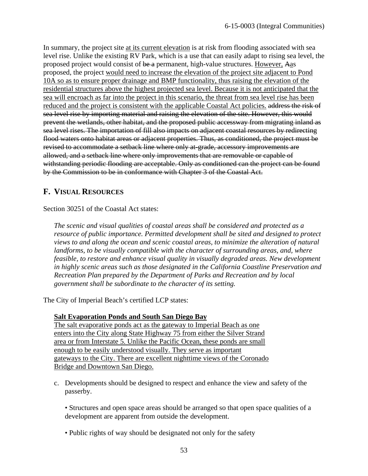In summary, the project site at its current elevation is at risk from flooding associated with sea level rise. Unlike the existing RV Park, which is a use that can easily adapt to rising sea level, the proposed project would consist of be a permanent, high-value structures. However, Aas proposed, the project would need to increase the elevation of the project site adjacent to Pond 10A so as to ensure proper drainage and BMP functionality, thus raising the elevation of the residential structures above the highest projected sea level. Because it is not anticipated that the sea will encroach as far into the project in this scenario, the threat from sea level rise has been reduced and the project is consistent with the applicable Coastal Act policies. address the risk of sea level rise by importing material and raising the elevation of the site. However, this would prevent the wetlands, other habitat, and the proposed public accessway from migrating inland as sea level rises. The importation of fill also impacts on adjacent coastal resources by redirecting flood waters onto habitat areas or adjacent properties. Thus, as conditioned, the project must be revised to accommodate a setback line where only at-grade, accessory improvements are allowed, and a setback line where only improvements that are removable or capable of withstanding periodic flooding are acceptable. Only as conditioned can the project can be found by the Commission to be in conformance with Chapter 3 of the Coastal Act.

# <span id="page-55-0"></span>**F. VISUAL RESOURCES**

Section 30251 of the Coastal Act states:

*The scenic and visual qualities of coastal areas shall be considered and protected as a resource of public importance. Permitted development shall be sited and designed to protect views to and along the ocean and scenic coastal areas, to minimize the alteration of natural landforms, to be visually compatible with the character of surrounding areas, and, where feasible, to restore and enhance visual quality in visually degraded areas. New development in highly scenic areas such as those designated in the California Coastline Preservation and Recreation Plan prepared by the Department of Parks and Recreation and by local government shall be subordinate to the character of its setting.* 

The City of Imperial Beach's certified LCP states:

# **Salt Evaporation Ponds and South San Diego Bay**

The salt evaporative ponds act as the gateway to Imperial Beach as one enters into the City along State Highway 75 from either the Silver Strand area or from Interstate 5. Unlike the Pacific Ocean, these ponds are small enough to be easily understood visually. They serve as important gateways to the City. There are excellent nighttime views of the Coronado Bridge and Downtown San Diego.

- c. Developments should be designed to respect and enhance the view and safety of the passerby.
	- Structures and open space areas should be arranged so that open space qualities of a development are apparent from outside the development.
	- Public rights of way should be designated not only for the safety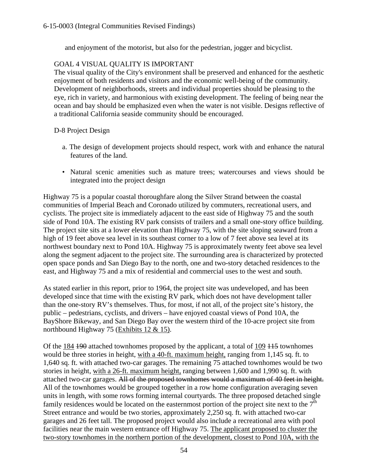and enjoyment of the motorist, but also for the pedestrian, jogger and bicyclist.

# GOAL 4 VISUAL QUALITY IS IMPORTANT

The visual quality of the City's environment shall be preserved and enhanced for the aesthetic enjoyment of both residents and visitors and the economic well-being of the community. Development of neighborhoods, streets and individual properties should be pleasing to the eye, rich in variety, and harmonious with existing development. The feeling of being near the ocean and bay should be emphasized even when the water is not visible. Designs reflective of a traditional California seaside community should be encouraged.

# D-8 Project Design

- a. The design of development projects should respect, work with and enhance the natural features of the land.
- Natural scenic amenities such as mature trees; watercourses and views should be integrated into the project design

Highway 75 is a popular coastal thoroughfare along the Silver Strand between the coastal communities of Imperial Beach and Coronado utilized by commuters, recreational users, and cyclists. The project site is immediately adjacent to the east side of Highway 75 and the south side of Pond 10A. The existing RV park consists of trailers and a small one-story office building. The project site sits at a lower elevation than Highway 75, with the site sloping seaward from a high of 19 feet above sea level in its southeast corner to a low of 7 feet above sea level at its northwest boundary next to Pond 10A. Highway 75 is approximately twenty feet above sea level along the segment adjacent to the project site. The surrounding area is characterized by protected open space ponds and San Diego Bay to the north, one and two-story detached residences to the east, and Highway 75 and a mix of residential and commercial uses to the west and south.

As stated earlier in this report, prior to 1964, the project site was undeveloped, and has been developed since that time with the existing RV park, which does not have development taller than the one-story RV's themselves. Thus, for most, if not all, of the project site's history, the public – pedestrians, cyclists, and drivers – have enjoyed coastal views of Pond 10A, the BayShore Bikeway, and San Diego Bay over the western third of the 10-acre project site from northbound Highway 75 (Exhibits 12 & 15).

Of the 184 190 attached townhomes proposed by the applicant, a total of 109 115 townhomes would be three stories in height, with a 40-ft. maximum height, ranging from 1,145 sq. ft. to 1,640 sq. ft. with attached two-car garages. The remaining 75 attached townhomes would be two stories in height, with a 26-ft. maximum height, ranging between 1,600 and 1,990 sq. ft. with attached two-car garages. All of the proposed townhomes would a maximum of 40 feet in height. All of the townhomes would be grouped together in a row home configuration averaging seven units in length, with some rows forming internal courtyards. The three proposed detached single family residences would be located on the easternmost portion of the project site next to the  $7<sup>th</sup>$ Street entrance and would be two stories, approximately 2,250 sq. ft. with attached two-car garages and 26 feet tall. The proposed project would also include a recreational area with pool facilities near the main western entrance off Highway 75. The applicant proposed to cluster the two-story townhomes in the northern portion of the development, closest to Pond 10A, with the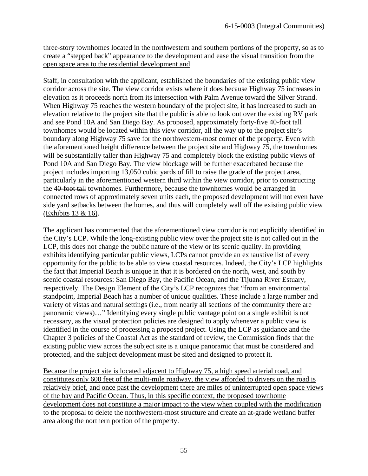three-story townhomes located in the northwestern and southern portions of the property, so as to create a "stepped back" appearance to the development and ease the visual transition from the open space area to the residential development and

Staff, in consultation with the applicant, established the boundaries of the existing public view corridor across the site. The view corridor exists where it does because Highway 75 increases in elevation as it proceeds north from its intersection with Palm Avenue toward the Silver Strand. When Highway 75 reaches the western boundary of the project site, it has increased to such an elevation relative to the project site that the public is able to look out over the existing RV park and see Pond 10A and San Diego Bay. As proposed, approximately forty-five 40-foot tall townhomes would be located within this view corridor, all the way up to the project site's boundary along Highway 75 save for the northwestern-most corner of the property. Even with the aforementioned height difference between the project site and Highway 75, the townhomes will be substantially taller than Highway 75 and completely block the existing public views of Pond 10A and San Diego Bay. The view blockage will be further exacerbated because the project includes importing 13,050 cubic yards of fill to raise the grade of the project area, particularly in the aforementioned western third within the view corridor, prior to constructing the 40-foot tall townhomes. Furthermore, because the townhomes would be arranged in connected rows of approximately seven units each, the proposed development will not even have side yard setbacks between the homes, and thus will completely wall off the existing public view (Exhibits 13 & 16).

The applicant has commented that the aforementioned view corridor is not explicitly identified in the City's LCP. While the long-existing public view over the project site is not called out in the LCP, this does not change the public nature of the view or its scenic quality. In providing exhibits identifying particular public views, LCPs cannot provide an exhaustive list of every opportunity for the public to be able to view coastal resources. Indeed, the City's LCP highlights the fact that Imperial Beach is unique in that it is bordered on the north, west, and south by scenic coastal resources: San Diego Bay, the Pacific Ocean, and the Tijuana River Estuary, respectively. The Design Element of the City's LCP recognizes that "from an environmental standpoint, Imperial Beach has a number of unique qualities. These include a large number and variety of vistas and natural settings (i.e., from nearly all sections of the community there are panoramic views)…" Identifying every single public vantage point on a single exhibit is not necessary, as the visual protection policies are designed to apply whenever a public view is identified in the course of processing a proposed project. Using the LCP as guidance and the Chapter 3 policies of the Coastal Act as the standard of review, the Commission finds that the existing public view across the subject site is a unique panoramic that must be considered and protected, and the subject development must be sited and designed to protect it.

Because the project site is located adjacent to Highway 75, a high speed arterial road, and constitutes only 600 feet of the multi-mile roadway, the view afforded to drivers on the road is relatively brief, and once past the development there are miles of uninterrupted open space views of the bay and Pacific Ocean. Thus, in this specific context, the proposed townhome development does not constitute a major impact to the view when coupled with the modification to the proposal to delete the northwestern-most structure and create an at-grade wetland buffer area along the northern portion of the property.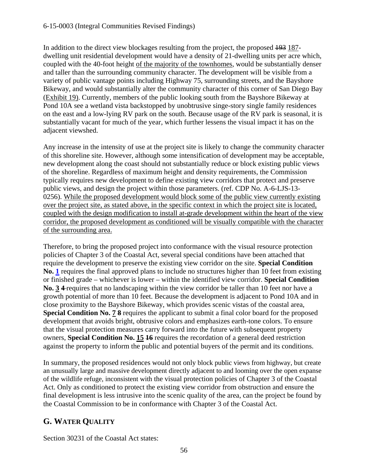# 6-15-0003 (Integral Communities Revised Findings)

In addition to the direct view blockages resulting from the project, the proposed 193 187 dwelling unit residential development would have a density of 21-dwelling units per acre which, coupled with the 40-foot height of the majority of the townhomes, would be substantially denser and taller than the surrounding community character. The development will be visible from a variety of public vantage points including Highway 75, surrounding streets, and the Bayshore Bikeway, and would substantially alter the community character of this corner of San Diego Bay (Exhibit 19). Currently, members of the public looking south from the Bayshore Bikeway at Pond 10A see a wetland vista backstopped by unobtrusive singe-story single family residences on the east and a low-lying RV park on the south. Because usage of the RV park is seasonal, it is substantially vacant for much of the year, which further lessens the visual impact it has on the adjacent viewshed.

Any increase in the intensity of use at the project site is likely to change the community character of this shoreline site. However, although some intensification of development may be acceptable, new development along the coast should not substantially reduce or block existing public views of the shoreline. Regardless of maximum height and density requirements, the Commission typically requires new development to define existing view corridors that protect and preserve public views, and design the project within those parameters. (ref. CDP No. A-6-LJS-13- 0256). While the proposed development would block some of the public view currently existing over the project site, as stated above, in the specific context in which the project site is located, coupled with the design modification to install at-grade development within the heart of the view corridor, the proposed development as conditioned will be visually compatible with the character of the surrounding area.

Therefore, to bring the proposed project into conformance with the visual resource protection policies of Chapter 3 of the Coastal Act, several special conditions have been attached that require the development to preserve the existing view corridor on the site. **Special Condition No. [1](#page-11-2)** requires the final approved plans to include no structures higher than 10 feet from existing or finished grade – whichever is lower – within the identified view corridor. **Special Condition No. 3 4** requires that no landscaping within the view corridor be taller than 10 feet nor have a growth potential of more than 10 feet. Because the development is adjacent to Pond 10A and in close proximity to the Bayshore Bikeway, which provides scenic vistas of the coastal area, **Special Condition No. 7 8** requires the applicant to submit a final color board for the proposed development that avoids bright, obtrusive colors and emphasizes earth-tone colors. To ensure that the visual protection measures carry forward into the future with subsequent property owners, **Special Condition No. 15 16** requires the recordation of a general deed restriction against the property to inform the public and potential buyers of the permit and its conditions.

In summary, the proposed residences would not only block public views from highway, but create an unusually large and massive development directly adjacent to and looming over the open expanse of the wildlife refuge, inconsistent with the visual protection policies of Chapter 3 of the Coastal Act. Only as conditioned to protect the existing view corridor from obstruction and ensure the final development is less intrusive into the scenic quality of the area, can the project be found by the Coastal Commission to be in conformance with Chapter 3 of the Coastal Act.

# <span id="page-58-0"></span>**G. WATER QUALITY**

Section 30231 of the Coastal Act states: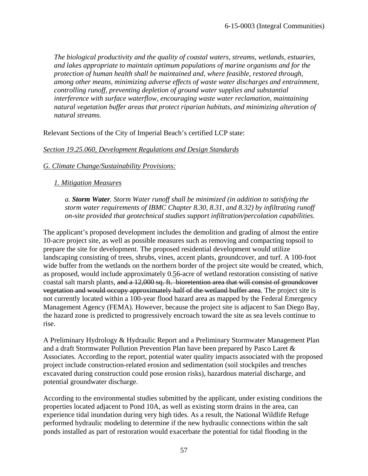*The biological productivity and the quality of coastal waters, streams, wetlands, estuaries, and lakes appropriate to maintain optimum populations of marine organisms and for the protection of human health shall be maintained and, where feasible, restored through, among other means, minimizing adverse effects of waste water discharges and entrainment, controlling runoff, preventing depletion of ground water supplies and substantial interference with surface waterflow, encouraging waste water reclamation, maintaining natural vegetation buffer areas that protect riparian habitats, and minimizing alteration of natural streams.* 

Relevant Sections of the City of Imperial Beach's certified LCP state:

### *Section 19.25.060, Development Regulations and Design Standards*

### *G. Climate Change/Sustainability Provisions:*

### *1. Mitigation Measures*

*a. Storm Water. Storm Water runoff shall be minimized (in addition to satisfying the storm water requirements of IBMC Chapter 8.30, 8.31, and 8.32) by infiltrating runoff on-site provided that geotechnical studies support infiltration/percolation capabilities.* 

The applicant's proposed development includes the demolition and grading of almost the entire 10-acre project site, as well as possible measures such as removing and compacting topsoil to prepare the site for development. The proposed residential development would utilize landscaping consisting of trees, shrubs, vines, accent plants, groundcover, and turf. A 100-foot wide buffer from the wetlands on the northern border of the project site would be created, which, as proposed, would include approximately 0.56-acre of wetland restoration consisting of native coastal salt marsh plants, and a 12,000 sq. ft. bioretention area that will consist of groundcover vegetation and would occupy approximately half of the wetland buffer area. The project site is not currently located within a 100-year flood hazard area as mapped by the Federal Emergency Management Agency (FEMA). However, because the project site is adjacent to San Diego Bay, the hazard zone is predicted to progressively encroach toward the site as sea levels continue to rise.

A Preliminary Hydrology & Hydraulic Report and a Preliminary Stormwater Management Plan and a draft Stormwater Pollution Prevention Plan have been prepared by Pasco Laret & Associates. According to the report, potential water quality impacts associated with the proposed project include construction-related erosion and sedimentation (soil stockpiles and trenches excavated during construction could pose erosion risks), hazardous material discharge, and potential groundwater discharge.

According to the environmental studies submitted by the applicant, under existing conditions the properties located adjacent to Pond 10A, as well as existing storm drains in the area, can experience tidal inundation during very high tides. As a result, the National Wildlife Refuge performed hydraulic modeling to determine if the new hydraulic connections within the salt ponds installed as part of restoration would exacerbate the potential for tidal flooding in the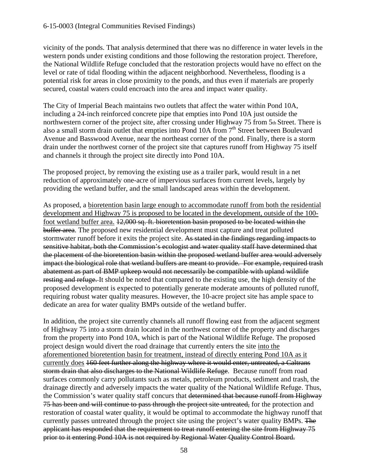vicinity of the ponds. That analysis determined that there was no difference in water levels in the western ponds under existing conditions and those following the restoration project. Therefore, the National Wildlife Refuge concluded that the restoration projects would have no effect on the level or rate of tidal flooding within the adjacent neighborhood. Nevertheless, flooding is a potential risk for areas in close proximity to the ponds, and thus even if materials are properly secured, coastal waters could encroach into the area and impact water quality.

The City of Imperial Beach maintains two outlets that affect the water within Pond 10A, including a 24-inch reinforced concrete pipe that empties into Pond 10A just outside the northwestern corner of the project site, after crossing under Highway 75 from 5th Street. There is also a small storm drain outlet that empties into Pond 10A from  $7<sup>th</sup>$  Street between Boulevard Avenue and Basswood Avenue, near the northeast corner of the pond. Finally, there is a storm drain under the northwest corner of the project site that captures runoff from Highway 75 itself and channels it through the project site directly into Pond 10A.

The proposed project, by removing the existing use as a trailer park, would result in a net reduction of approximately one-acre of impervious surfaces from current levels, largely by providing the wetland buffer, and the small landscaped areas within the development.

As proposed, a bioretention basin large enough to accommodate runoff from both the residential development and Highway 75 is proposed to be located in the development, outside of the 100 foot wetland buffer area. 12,000 sq. ft. bioretention basin proposed to be located within the buffer area. The proposed new residential development must capture and treat polluted stormwater runoff before it exits the project site. As stated in the findings regarding impacts to sensitive habitat, both the Commission's ecologist and water quality staff have determined that the placement of the bioretention basin within the proposed wetland buffer area would adversely impact the biological role that wetland buffers are meant to provide. For example, required trash abatement as part of BMP upkeep would not necessarily be compatible with upland wildlife resting and refuge. It should be noted that compared to the existing use, the high density of the proposed development is expected to potentially generate moderate amounts of polluted runoff, requiring robust water quality measures. However, the 10-acre project site has ample space to dedicate an area for water quality BMPs outside of the wetland buffer.

In addition, the project site currently channels all runoff flowing east from the adjacent segment of Highway 75 into a storm drain located in the northwest corner of the property and discharges from the property into Pond 10A, which is part of the National Wildlife Refuge. The proposed project design would divert the road drainage that currently enters the site into the aforementioned bioretention basin for treatment, instead of directly entering Pond 10A as it currently does 160 feet further along the highway where it would enter, untreated, a Caltrans storm drain that also discharges to the National Wildlife Refuge. Because runoff from road surfaces commonly carry pollutants such as metals, petroleum products, sediment and trash, the drainage directly and adversely impacts the water quality of the National Wildlife Refuge. Thus, the Commission's water quality staff concurs that determined that because runoff from Highway 75 has been and will continue to pass through the project site untreated, for the protection and restoration of coastal water quality, it would be optimal to accommodate the highway runoff that currently passes untreated through the project site using the project's water quality BMPs. The applicant has responded that the requirement to treat runoff entering the site from Highway 75 prior to it entering Pond 10A is not required by Regional Water Quality Control Board.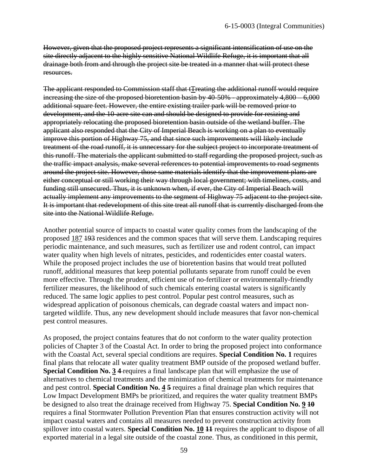However, given that the proposed project represents a significant intensification of use on the site directly adjacent to the highly sensitive National Wildlife Refuge, it is important that all drainage both from and through the project site be treated in a manner that will protect these resources.

The applicant responded to Commission staff that tTreating the additional runoff would require increasing the size of the proposed bioretention basin by 40-50% - approximately 4,800 – 6,000 additional square feet. However, the entire existing trailer park will be removed prior to development, and the 10-acre site can and should be designed to provide for resizing and appropriately relocating the proposed bioretention basin outside of the wetland buffer. The applicant also responded that the City of Imperial Beach is working on a plan to eventually improve this portion of Highway 75, and that since such improvements will likely include treatment of the road runoff, it is unnecessary for the subject project to incorporate treatment of this runoff. The materials the applicant submitted to staff regarding the proposed project, such as the traffic impact analysis, make several references to potential improvements to road segments around the project site. However, those same materials identify that the improvement plans are either conceptual or still working their way through local government; with timelines, costs, and funding still unsecured. Thus, it is unknown when, if ever, the City of Imperial Beach will actually implement any improvements to the segment of Highway 75 adjacent to the project site. It is important that redevelopment of this site treat all runoff that is currently discharged from the site into the National Wildlife Refuge.

Another potential source of impacts to coastal water quality comes from the landscaping of the proposed 187 193 residences and the common spaces that will serve them. Landscaping requires periodic maintenance, and such measures, such as fertilizer use and rodent control, can impact water quality when high levels of nitrates, pesticides, and rodenticides enter coastal waters. While the proposed project includes the use of bioretention basins that would treat polluted runoff, additional measures that keep potential pollutants separate from runoff could be even more effective. Through the prudent, efficient use of no-fertilizer or environmentally-friendly fertilizer measures, the likelihood of such chemicals entering coastal waters is significantly reduced. The same logic applies to pest control. Popular pest control measures, such as widespread application of poisonous chemicals, can degrade coastal waters and impact nontargeted wildlife. Thus, any new development should include measures that favor non-chemical pest control measures.

As proposed, the project contains features that do not conform to the water quality protection policies of Chapter 3 of the Coastal Act. In order to bring the proposed project into conformance with the Coastal Act, several special conditions are requires. **Special Condition No. 1** requires final plans that relocate all water quality treatment BMP outside of the proposed wetland buffer. **Special Condition No. 3 4-** requires a final landscape plan that will emphasize the use of alternatives to chemical treatments and the minimization of chemical treatments for maintenance and pest control. **Special Condition No. 4 5** requires a final drainage plan which requires that Low Impact Development BMPs be prioritized, and requires the water quality treatment BMPs be designed to also treat the drainage received from Highway 75. **Special Condition No. 9 10** requires a final Stormwater Pollution Prevention Plan that ensures construction activity will not impact coastal waters and contains all measures needed to prevent construction activity from spillover into coastal waters. **Special Condition No. 10 11** requires the applicant to dispose of all exported material in a legal site outside of the coastal zone. Thus, as conditioned in this permit,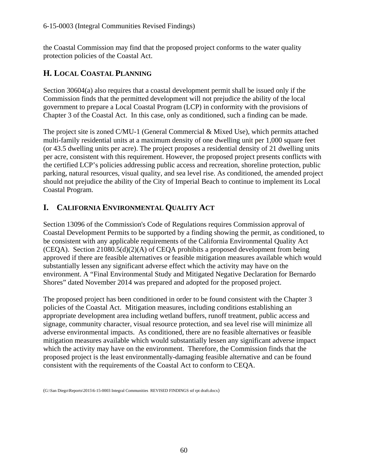the Coastal Commission may find that the proposed project conforms to the water quality protection policies of the Coastal Act.

# <span id="page-62-0"></span>**H. LOCAL COASTAL PLANNING**

Section 30604(a) also requires that a coastal development permit shall be issued only if the Commission finds that the permitted development will not prejudice the ability of the local government to prepare a Local Coastal Program (LCP) in conformity with the provisions of Chapter 3 of the Coastal Act. In this case, only as conditioned, such a finding can be made.

The project site is zoned C/MU-1 (General Commercial & Mixed Use), which permits attached multi-family residential units at a maximum density of one dwelling unit per 1,000 square feet (or 43.5 dwelling units per acre). The project proposes a residential density of 21 dwelling units per acre, consistent with this requirement. However, the proposed project presents conflicts with the certified LCP's policies addressing public access and recreation, shoreline protection, public parking, natural resources, visual quality, and sea level rise. As conditioned, the amended project should not prejudice the ability of the City of Imperial Beach to continue to implement its Local Coastal Program.

# <span id="page-62-1"></span>**I. CALIFORNIA ENVIRONMENTAL QUALITY ACT**

Section 13096 of the Commission's Code of Regulations requires Commission approval of Coastal Development Permits to be supported by a finding showing the permit, as conditioned, to be consistent with any applicable requirements of the California Environmental Quality Act (CEQA). Section 21080.5(d)(2)(A) of CEQA prohibits a proposed development from being approved if there are feasible alternatives or feasible mitigation measures available which would substantially lessen any significant adverse effect which the activity may have on the environment. A "Final Environmental Study and Mitigated Negative Declaration for Bernardo Shores" dated November 2014 was prepared and adopted for the proposed project.

The proposed project has been conditioned in order to be found consistent with the Chapter 3 policies of the Coastal Act. Mitigation measures, including conditions establishing an appropriate development area including wetland buffers, runoff treatment, public access and signage, community character, visual resource protection, and sea level rise will minimize all adverse environmental impacts. As conditioned, there are no feasible alternatives or feasible mitigation measures available which would substantially lessen any significant adverse impact which the activity may have on the environment. Therefore, the Commission finds that the proposed project is the least environmentally-damaging feasible alternative and can be found consistent with the requirements of the Coastal Act to conform to CEQA.

(G:\San Diego\Reports\2015\6-15-0003 Integral Communities REVISED FINDINGS stf rpt draft.docx)